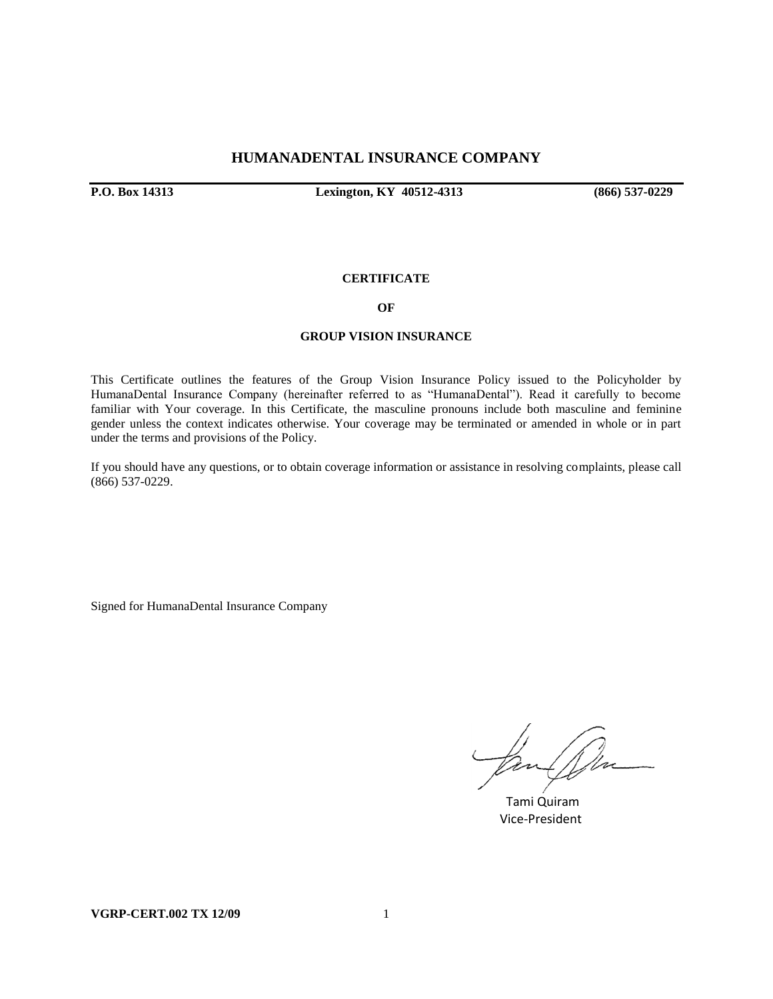### **HUMANADENTAL INSURANCE COMPANY**

**P.O. Box 14313 Lexington, KY 40512-4313 (866) 537-0229**

### **CERTIFICATE**

#### **OF**

#### **GROUP VISION INSURANCE**

This Certificate outlines the features of the Group Vision Insurance Policy issued to the Policyholder by HumanaDental Insurance Company (hereinafter referred to as "HumanaDental"). Read it carefully to become familiar with Your coverage. In this Certificate, the masculine pronouns include both masculine and feminine gender unless the context indicates otherwise. Your coverage may be terminated or amended in whole or in part under the terms and provisions of the Policy.

If you should have any questions, or to obtain coverage information or assistance in resolving complaints, please call (866) 537-0229.

Signed for HumanaDental Insurance Company

 Tami Quiram Vice-President

**VGRP-CERT.002 TX 12/09** 1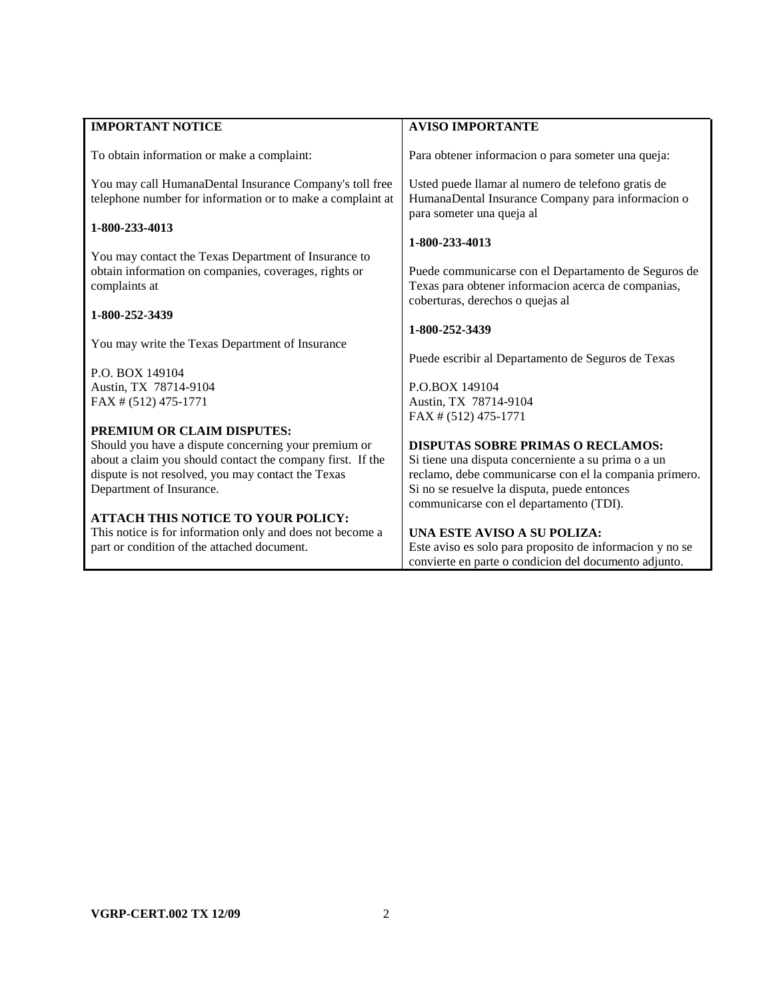| <b>IMPORTANT NOTICE</b>                                                                                                        | <b>AVISO IMPORTANTE</b>                                                                                                                         |
|--------------------------------------------------------------------------------------------------------------------------------|-------------------------------------------------------------------------------------------------------------------------------------------------|
| To obtain information or make a complaint:                                                                                     | Para obtener informacion o para someter una queja:                                                                                              |
| You may call HumanaDental Insurance Company's toll free<br>telephone number for information or to make a complaint at          | Usted puede llamar al numero de telefono gratis de<br>HumanaDental Insurance Company para informacion o                                         |
| 1-800-233-4013                                                                                                                 | para someter una queja al                                                                                                                       |
|                                                                                                                                | 1-800-233-4013                                                                                                                                  |
| You may contact the Texas Department of Insurance to<br>obtain information on companies, coverages, rights or<br>complaints at | Puede communicarse con el Departamento de Seguros de<br>Texas para obtener informacion acerca de companias,<br>coberturas, derechos o quejas al |
| 1-800-252-3439                                                                                                                 |                                                                                                                                                 |
|                                                                                                                                | 1-800-252-3439                                                                                                                                  |
| You may write the Texas Department of Insurance                                                                                |                                                                                                                                                 |
| P.O. BOX 149104                                                                                                                | Puede escribir al Departamento de Seguros de Texas                                                                                              |
| Austin, TX 78714-9104                                                                                                          | P.O.BOX 149104                                                                                                                                  |
| FAX # (512) 475-1771                                                                                                           | Austin, TX 78714-9104                                                                                                                           |
|                                                                                                                                | FAX # (512) 475-1771                                                                                                                            |
| PREMIUM OR CLAIM DISPUTES:                                                                                                     |                                                                                                                                                 |
| Should you have a dispute concerning your premium or                                                                           | <b>DISPUTAS SOBRE PRIMAS O RECLAMOS:</b>                                                                                                        |
| about a claim you should contact the company first. If the                                                                     | Si tiene una disputa concerniente a su prima o a un                                                                                             |
| dispute is not resolved, you may contact the Texas<br>Department of Insurance.                                                 | reclamo, debe communicarse con el la compania primero.<br>Si no se resuelve la disputa, puede entonces                                          |
|                                                                                                                                | communicarse con el departamento (TDI).                                                                                                         |
| <b>ATTACH THIS NOTICE TO YOUR POLICY:</b>                                                                                      |                                                                                                                                                 |
| This notice is for information only and does not become a                                                                      | UNA ESTE AVISO A SU POLIZA:                                                                                                                     |
| part or condition of the attached document.                                                                                    | Este aviso es solo para proposito de informacion y no se                                                                                        |
|                                                                                                                                | convierte en parte o condicion del documento adjunto.                                                                                           |

L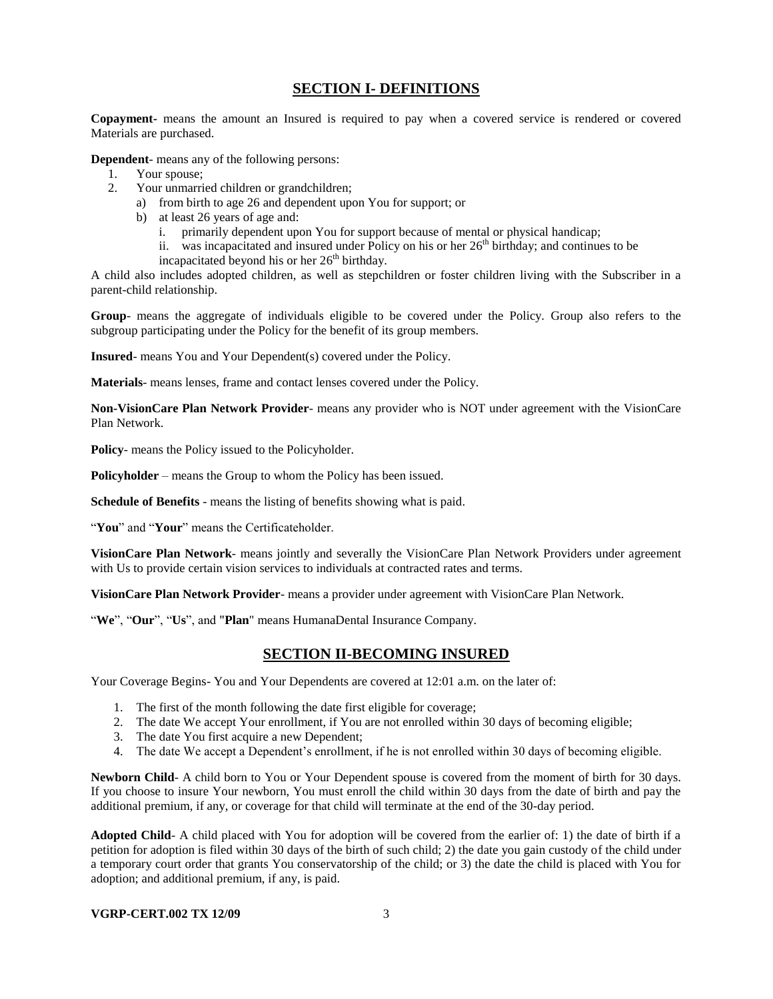# **SECTION I- DEFINITIONS**

**Copayment-** means the amount an Insured is required to pay when a covered service is rendered or covered Materials are purchased.

**Dependent**- means any of the following persons:

- 1. Your spouse;
- 2. Your unmarried children or grandchildren;
	- a) from birth to age 26 and dependent upon You for support; or
	- b) at least 26 years of age and:
		- i. primarily dependent upon You for support because of mental or physical handicap;
		- ii. was incapacitated and insured under Policy on his or her  $26<sup>th</sup>$  birthday; and continues to be
		- incapacitated beyond his or her  $26<sup>th</sup>$  birthday.

A child also includes adopted children, as well as stepchildren or foster children living with the Subscriber in a parent-child relationship.

**Group**- means the aggregate of individuals eligible to be covered under the Policy. Group also refers to the subgroup participating under the Policy for the benefit of its group members.

**Insured**- means You and Your Dependent(s) covered under the Policy.

**Materials**- means lenses, frame and contact lenses covered under the Policy.

**Non-VisionCare Plan Network Provider**- means any provider who is NOT under agreement with the VisionCare Plan Network.

**Policy**- means the Policy issued to the Policyholder.

**Policyholder** – means the Group to whom the Policy has been issued.

**Schedule of Benefits** - means the listing of benefits showing what is paid.

"**You**" and "**Your**" means the Certificateholder.

**VisionCare Plan Network**- means jointly and severally the VisionCare Plan Network Providers under agreement with Us to provide certain vision services to individuals at contracted rates and terms.

**VisionCare Plan Network Provider**- means a provider under agreement with VisionCare Plan Network.

"**We**", "**Our**", "**Us**", and "**Plan**" means HumanaDental Insurance Company.

### **SECTION II-BECOMING INSURED**

Your Coverage Begins- You and Your Dependents are covered at 12:01 a.m. on the later of:

- 1. The first of the month following the date first eligible for coverage;
- 2. The date We accept Your enrollment, if You are not enrolled within 30 days of becoming eligible;
- 3. The date You first acquire a new Dependent;
- 4. The date We accept a Dependent's enrollment, if he is not enrolled within 30 days of becoming eligible.

**Newborn Child**- A child born to You or Your Dependent spouse is covered from the moment of birth for 30 days. If you choose to insure Your newborn, You must enroll the child within 30 days from the date of birth and pay the additional premium, if any, or coverage for that child will terminate at the end of the 30-day period.

**Adopted Child**- A child placed with You for adoption will be covered from the earlier of: 1) the date of birth if a petition for adoption is filed within 30 days of the birth of such child; 2) the date you gain custody of the child under a temporary court order that grants You conservatorship of the child; or 3) the date the child is placed with You for adoption; and additional premium, if any, is paid.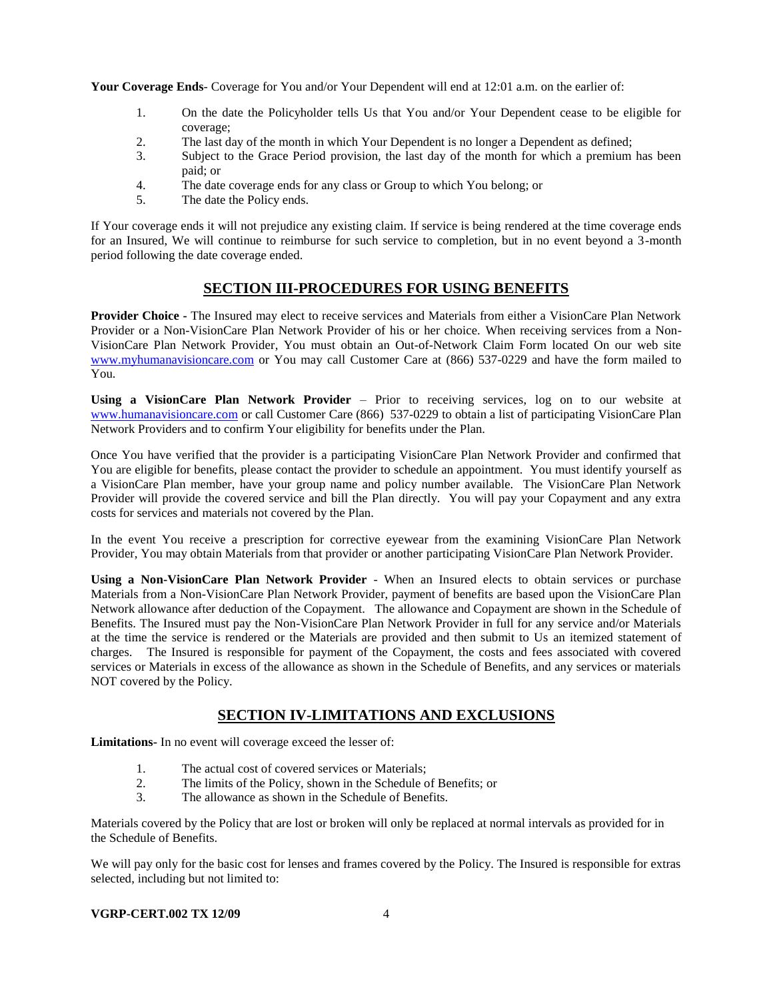**Your Coverage Ends**- Coverage for You and/or Your Dependent will end at 12:01 a.m. on the earlier of:

- 1. On the date the Policyholder tells Us that You and/or Your Dependent cease to be eligible for coverage;
- 2. The last day of the month in which Your Dependent is no longer a Dependent as defined;
- 3. Subject to the Grace Period provision, the last day of the month for which a premium has been paid; or
- 4. The date coverage ends for any class or Group to which You belong; or
- 5. The date the Policy ends.

If Your coverage ends it will not prejudice any existing claim. If service is being rendered at the time coverage ends for an Insured, We will continue to reimburse for such service to completion, but in no event beyond a 3-month period following the date coverage ended.

# **SECTION III-PROCEDURES FOR USING BENEFITS**

**Provider Choice -** The Insured may elect to receive services and Materials from either a VisionCare Plan Network Provider or a Non-VisionCare Plan Network Provider of his or her choice. When receiving services from a Non-VisionCare Plan Network Provider, You must obtain an Out-of-Network Claim Form located On our web site [www.myhumanavisioncare.com](http://www.myhumanavisioncare.com/) or You may call Customer Care at (866) 537-0229 and have the form mailed to You.

**Using a VisionCare Plan Network Provider** – Prior to receiving services, log on to our website at [www.humanavisioncare.com](http://www.humanavisioncare.com/) or call Customer Care (866) 537-0229 to obtain a list of participating VisionCare Plan Network Providers and to confirm Your eligibility for benefits under the Plan.

Once You have verified that the provider is a participating VisionCare Plan Network Provider and confirmed that You are eligible for benefits, please contact the provider to schedule an appointment. You must identify yourself as a VisionCare Plan member, have your group name and policy number available. The VisionCare Plan Network Provider will provide the covered service and bill the Plan directly. You will pay your Copayment and any extra costs for services and materials not covered by the Plan.

In the event You receive a prescription for corrective eyewear from the examining VisionCare Plan Network Provider, You may obtain Materials from that provider or another participating VisionCare Plan Network Provider.

**Using a Non-VisionCare Plan Network Provider** - When an Insured elects to obtain services or purchase Materials from a Non-VisionCare Plan Network Provider, payment of benefits are based upon the VisionCare Plan Network allowance after deduction of the Copayment. The allowance and Copayment are shown in the Schedule of Benefits. The Insured must pay the Non-VisionCare Plan Network Provider in full for any service and/or Materials at the time the service is rendered or the Materials are provided and then submit to Us an itemized statement of charges. The Insured is responsible for payment of the Copayment, the costs and fees associated with covered services or Materials in excess of the allowance as shown in the Schedule of Benefits, and any services or materials NOT covered by the Policy.

# **SECTION IV-LIMITATIONS AND EXCLUSIONS**

**Limitations-** In no event will coverage exceed the lesser of:

- 1. The actual cost of covered services or Materials;
- 2. The limits of the Policy, shown in the Schedule of Benefits; or
- 3. The allowance as shown in the Schedule of Benefits.

Materials covered by the Policy that are lost or broken will only be replaced at normal intervals as provided for in the Schedule of Benefits.

We will pay only for the basic cost for lenses and frames covered by the Policy. The Insured is responsible for extras selected, including but not limited to:

#### **VGRP-CERT.002 TX 12/09** 4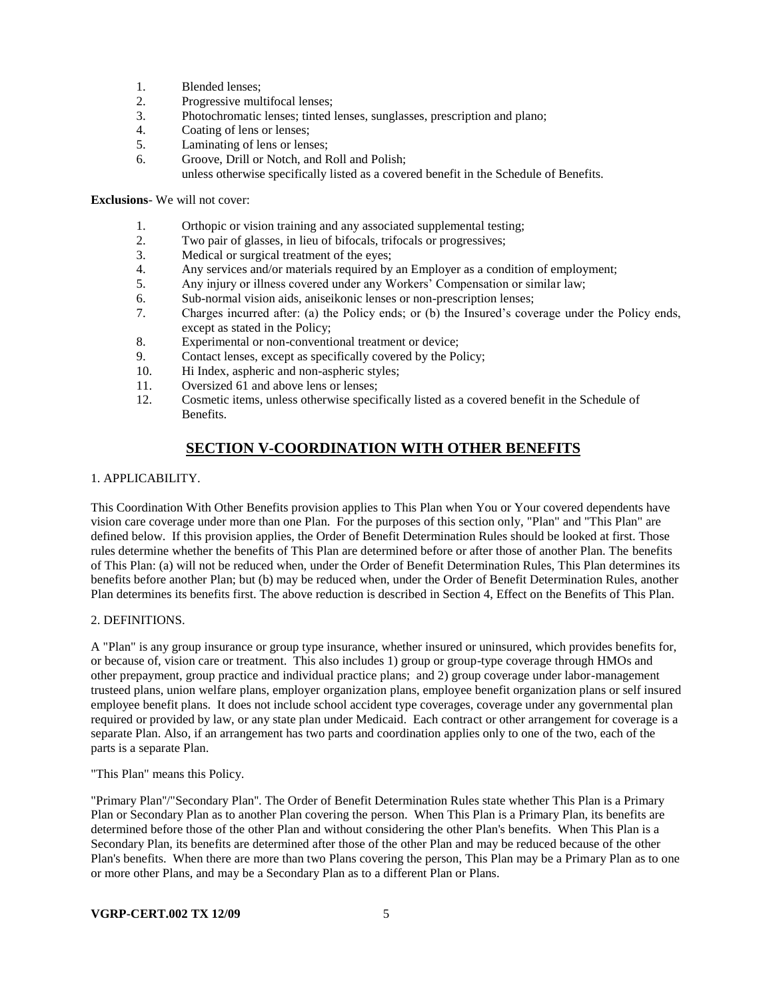- 1. Blended lenses;
- 2. Progressive multifocal lenses;
- 3. Photochromatic lenses; tinted lenses, sunglasses, prescription and plano;
- 4. Coating of lens or lenses;
- 5. Laminating of lens or lenses;
- 6. Groove, Drill or Notch, and Roll and Polish; unless otherwise specifically listed as a covered benefit in the Schedule of Benefits.

### **Exclusions**- We will not cover:

- 1. Orthopic or vision training and any associated supplemental testing;
- 2. Two pair of glasses, in lieu of bifocals, trifocals or progressives;
- 3. Medical or surgical treatment of the eyes;
- 4. Any services and/or materials required by an Employer as a condition of employment;
- 5. Any injury or illness covered under any Workers' Compensation or similar law;
- 6. Sub-normal vision aids, aniseikonic lenses or non-prescription lenses;
- 7. Charges incurred after: (a) the Policy ends; or (b) the Insured's coverage under the Policy ends, except as stated in the Policy;
- 8. Experimental or non-conventional treatment or device;
- 9. Contact lenses, except as specifically covered by the Policy;
- 10. Hi Index, aspheric and non-aspheric styles;
- 11. Oversized 61 and above lens or lenses;
- 12. Cosmetic items, unless otherwise specifically listed as a covered benefit in the Schedule of Benefits.

# **SECTION V-COORDINATION WITH OTHER BENEFITS**

### 1. APPLICABILITY.

This Coordination With Other Benefits provision applies to This Plan when You or Your covered dependents have vision care coverage under more than one Plan. For the purposes of this section only, "Plan" and "This Plan" are defined below. If this provision applies, the Order of Benefit Determination Rules should be looked at first. Those rules determine whether the benefits of This Plan are determined before or after those of another Plan. The benefits of This Plan: (a) will not be reduced when, under the Order of Benefit Determination Rules, This Plan determines its benefits before another Plan; but (b) may be reduced when, under the Order of Benefit Determination Rules, another Plan determines its benefits first. The above reduction is described in Section 4, Effect on the Benefits of This Plan.

### 2. DEFINITIONS.

A "Plan" is any group insurance or group type insurance, whether insured or uninsured, which provides benefits for, or because of, vision care or treatment. This also includes 1) group or group-type coverage through HMOs and other prepayment, group practice and individual practice plans; and 2) group coverage under labor-management trusteed plans, union welfare plans, employer organization plans, employee benefit organization plans or self insured employee benefit plans. It does not include school accident type coverages, coverage under any governmental plan required or provided by law, or any state plan under Medicaid. Each contract or other arrangement for coverage is a separate Plan. Also, if an arrangement has two parts and coordination applies only to one of the two, each of the parts is a separate Plan.

"This Plan" means this Policy.

"Primary Plan''/"Secondary Plan''. The Order of Benefit Determination Rules state whether This Plan is a Primary Plan or Secondary Plan as to another Plan covering the person. When This Plan is a Primary Plan, its benefits are determined before those of the other Plan and without considering the other Plan's benefits. When This Plan is a Secondary Plan, its benefits are determined after those of the other Plan and may be reduced because of the other Plan's benefits. When there are more than two Plans covering the person, This Plan may be a Primary Plan as to one or more other Plans, and may be a Secondary Plan as to a different Plan or Plans.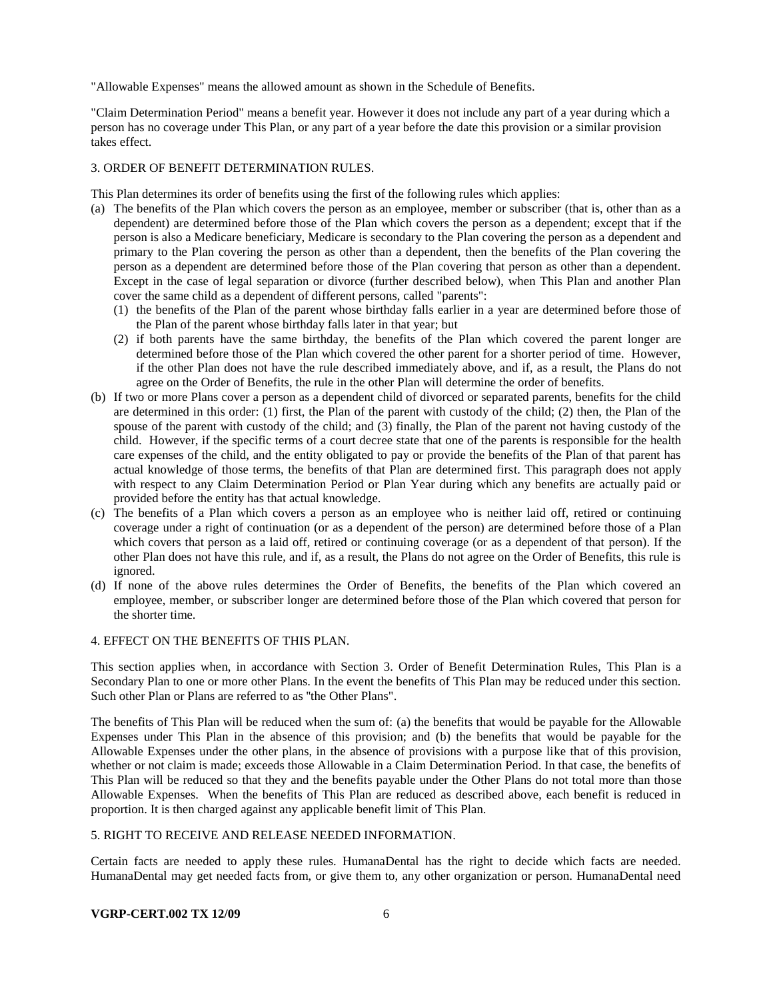"Allowable Expenses" means the allowed amount as shown in the Schedule of Benefits.

"Claim Determination Period" means a benefit year. However it does not include any part of a year during which a person has no coverage under This Plan, or any part of a year before the date this provision or a similar provision takes effect.

### 3. ORDER OF BENEFIT DETERMINATION RULES.

This Plan determines its order of benefits using the first of the following rules which applies:

- (a) The benefits of the Plan which covers the person as an employee, member or subscriber (that is, other than as a dependent) are determined before those of the Plan which covers the person as a dependent; except that if the person is also a Medicare beneficiary, Medicare is secondary to the Plan covering the person as a dependent and primary to the Plan covering the person as other than a dependent, then the benefits of the Plan covering the person as a dependent are determined before those of the Plan covering that person as other than a dependent. Except in the case of legal separation or divorce (further described below), when This Plan and another Plan cover the same child as a dependent of different persons, called "parents":
	- (1) the benefits of the Plan of the parent whose birthday falls earlier in a year are determined before those of the Plan of the parent whose birthday falls later in that year; but
	- (2) if both parents have the same birthday, the benefits of the Plan which covered the parent longer are determined before those of the Plan which covered the other parent for a shorter period of time. However, if the other Plan does not have the rule described immediately above, and if, as a result, the Plans do not agree on the Order of Benefits, the rule in the other Plan will determine the order of benefits.
- (b) If two or more Plans cover a person as a dependent child of divorced or separated parents, benefits for the child are determined in this order: (1) first, the Plan of the parent with custody of the child; (2) then, the Plan of the spouse of the parent with custody of the child; and (3) finally, the Plan of the parent not having custody of the child. However, if the specific terms of a court decree state that one of the parents is responsible for the health care expenses of the child, and the entity obligated to pay or provide the benefits of the Plan of that parent has actual knowledge of those terms, the benefits of that Plan are determined first. This paragraph does not apply with respect to any Claim Determination Period or Plan Year during which any benefits are actually paid or provided before the entity has that actual knowledge.
- (c) The benefits of a Plan which covers a person as an employee who is neither laid off, retired or continuing coverage under a right of continuation (or as a dependent of the person) are determined before those of a Plan which covers that person as a laid off, retired or continuing coverage (or as a dependent of that person). If the other Plan does not have this rule, and if, as a result, the Plans do not agree on the Order of Benefits, this rule is ignored.
- (d) If none of the above rules determines the Order of Benefits, the benefits of the Plan which covered an employee, member, or subscriber longer are determined before those of the Plan which covered that person for the shorter time.

#### 4. EFFECT ON THE BENEFITS OF THIS PLAN.

This section applies when, in accordance with Section 3. Order of Benefit Determination Rules, This Plan is a Secondary Plan to one or more other Plans. In the event the benefits of This Plan may be reduced under this section. Such other Plan or Plans are referred to as ''the Other Plans".

The benefits of This Plan will be reduced when the sum of: (a) the benefits that would be payable for the Allowable Expenses under This Plan in the absence of this provision; and (b) the benefits that would be payable for the Allowable Expenses under the other plans, in the absence of provisions with a purpose like that of this provision, whether or not claim is made; exceeds those Allowable in a Claim Determination Period. In that case, the benefits of This Plan will be reduced so that they and the benefits payable under the Other Plans do not total more than those Allowable Expenses. When the benefits of This Plan are reduced as described above, each benefit is reduced in proportion. It is then charged against any applicable benefit limit of This Plan.

#### 5. RIGHT TO RECEIVE AND RELEASE NEEDED INFORMATION.

Certain facts are needed to apply these rules. HumanaDental has the right to decide which facts are needed. HumanaDental may get needed facts from, or give them to, any other organization or person. HumanaDental need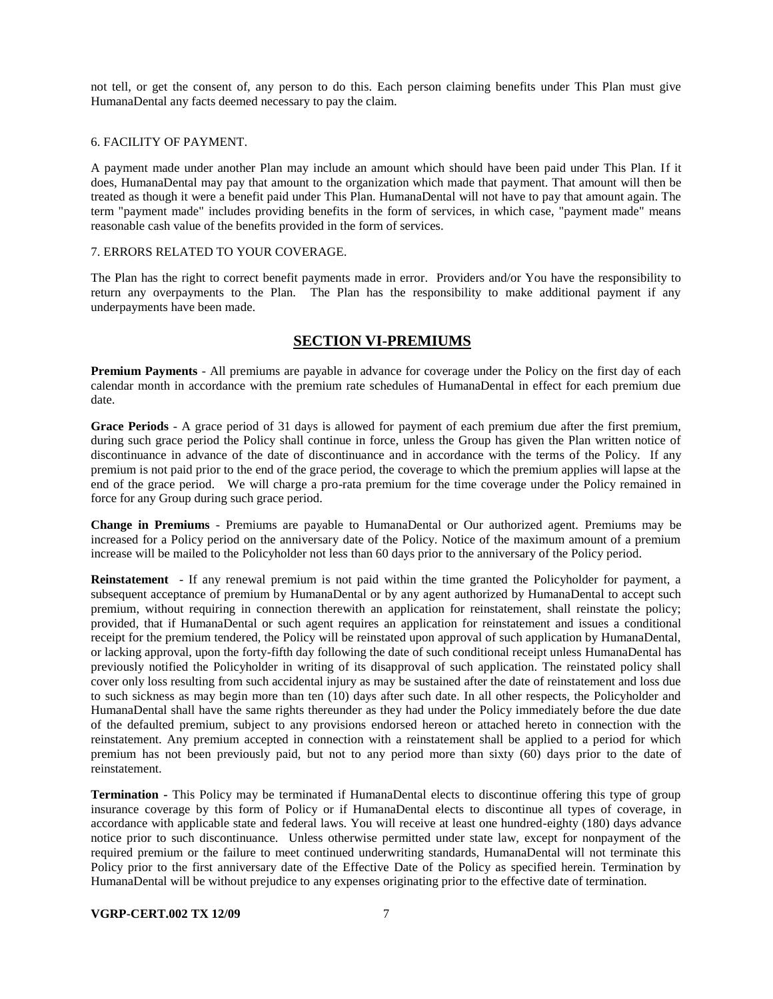not tell, or get the consent of, any person to do this. Each person claiming benefits under This Plan must give HumanaDental any facts deemed necessary to pay the claim.

#### 6. FACILITY OF PAYMENT.

A payment made under another Plan may include an amount which should have been paid under This Plan. If it does, HumanaDental may pay that amount to the organization which made that payment. That amount will then be treated as though it were a benefit paid under This Plan. HumanaDental will not have to pay that amount again. The term "payment made" includes providing benefits in the form of services, in which case, "payment made" means reasonable cash value of the benefits provided in the form of services.

### 7. ERRORS RELATED TO YOUR COVERAGE.

The Plan has the right to correct benefit payments made in error. Providers and/or You have the responsibility to return any overpayments to the Plan. The Plan has the responsibility to make additional payment if any underpayments have been made.

### **SECTION VI-PREMIUMS**

**Premium Payments** - All premiums are payable in advance for coverage under the Policy on the first day of each calendar month in accordance with the premium rate schedules of HumanaDental in effect for each premium due date.

**Grace Periods** - A grace period of 31 days is allowed for payment of each premium due after the first premium, during such grace period the Policy shall continue in force, unless the Group has given the Plan written notice of discontinuance in advance of the date of discontinuance and in accordance with the terms of the Policy. If any premium is not paid prior to the end of the grace period, the coverage to which the premium applies will lapse at the end of the grace period. We will charge a pro-rata premium for the time coverage under the Policy remained in force for any Group during such grace period.

**Change in Premiums** - Premiums are payable to HumanaDental or Our authorized agent. Premiums may be increased for a Policy period on the anniversary date of the Policy. Notice of the maximum amount of a premium increase will be mailed to the Policyholder not less than 60 days prior to the anniversary of the Policy period.

**Reinstatement** - If any renewal premium is not paid within the time granted the Policyholder for payment, a subsequent acceptance of premium by HumanaDental or by any agent authorized by HumanaDental to accept such premium, without requiring in connection therewith an application for reinstatement, shall reinstate the policy; provided, that if HumanaDental or such agent requires an application for reinstatement and issues a conditional receipt for the premium tendered, the Policy will be reinstated upon approval of such application by HumanaDental, or lacking approval, upon the forty-fifth day following the date of such conditional receipt unless HumanaDental has previously notified the Policyholder in writing of its disapproval of such application. The reinstated policy shall cover only loss resulting from such accidental injury as may be sustained after the date of reinstatement and loss due to such sickness as may begin more than ten (10) days after such date. In all other respects, the Policyholder and HumanaDental shall have the same rights thereunder as they had under the Policy immediately before the due date of the defaulted premium, subject to any provisions endorsed hereon or attached hereto in connection with the reinstatement. Any premium accepted in connection with a reinstatement shall be applied to a period for which premium has not been previously paid, but not to any period more than sixty (60) days prior to the date of reinstatement.

**Termination -** This Policy may be terminated if HumanaDental elects to discontinue offering this type of group insurance coverage by this form of Policy or if HumanaDental elects to discontinue all types of coverage, in accordance with applicable state and federal laws. You will receive at least one hundred-eighty (180) days advance notice prior to such discontinuance. Unless otherwise permitted under state law, except for nonpayment of the required premium or the failure to meet continued underwriting standards, HumanaDental will not terminate this Policy prior to the first anniversary date of the Effective Date of the Policy as specified herein. Termination by HumanaDental will be without prejudice to any expenses originating prior to the effective date of termination.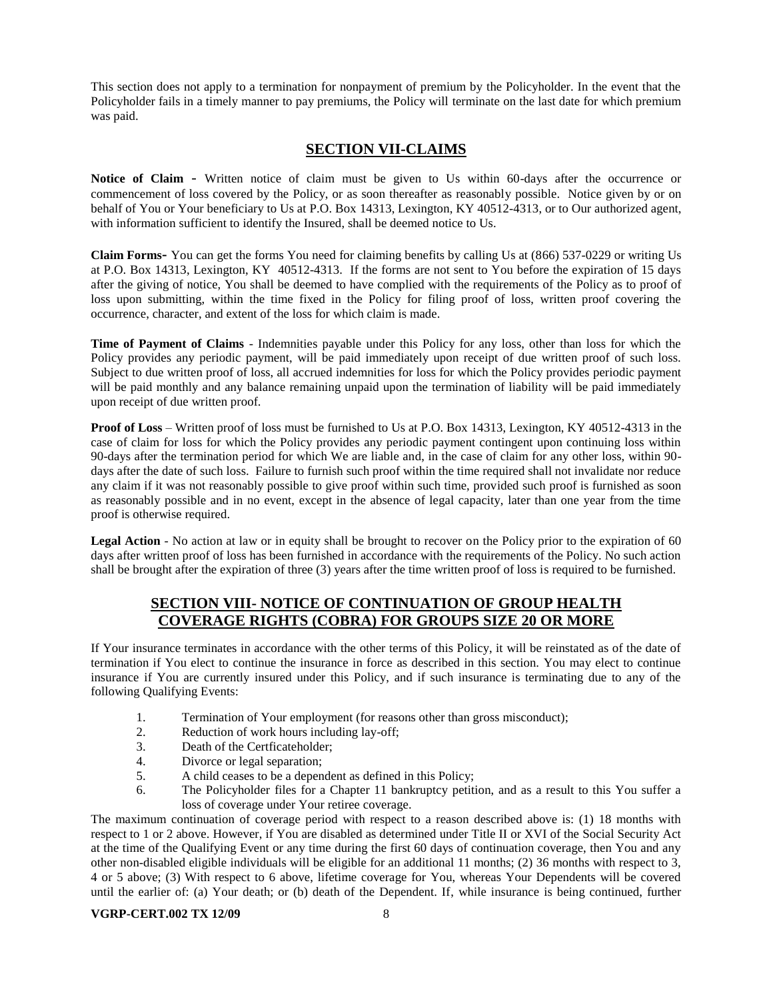This section does not apply to a termination for nonpayment of premium by the Policyholder. In the event that the Policyholder fails in a timely manner to pay premiums, the Policy will terminate on the last date for which premium was paid.

# **SECTION VII-CLAIMS**

**Notice of Claim** - Written notice of claim must be given to Us within 60-days after the occurrence or commencement of loss covered by the Policy, or as soon thereafter as reasonably possible. Notice given by or on behalf of You or Your beneficiary to Us at P.O. Box 14313, Lexington, KY 40512-4313, or to Our authorized agent, with information sufficient to identify the Insured, shall be deemed notice to Us.

**Claim Forms-** You can get the forms You need for claiming benefits by calling Us at (866) 537-0229 or writing Us at P.O. Box 14313, Lexington, KY 40512-4313. If the forms are not sent to You before the expiration of 15 days after the giving of notice, You shall be deemed to have complied with the requirements of the Policy as to proof of loss upon submitting, within the time fixed in the Policy for filing proof of loss, written proof covering the occurrence, character, and extent of the loss for which claim is made.

**Time of Payment of Claims** - Indemnities payable under this Policy for any loss, other than loss for which the Policy provides any periodic payment, will be paid immediately upon receipt of due written proof of such loss. Subject to due written proof of loss, all accrued indemnities for loss for which the Policy provides periodic payment will be paid monthly and any balance remaining unpaid upon the termination of liability will be paid immediately upon receipt of due written proof.

**Proof of Loss** – Written proof of loss must be furnished to Us at P.O. Box 14313, Lexington, KY 40512-4313 in the case of claim for loss for which the Policy provides any periodic payment contingent upon continuing loss within 90-days after the termination period for which We are liable and, in the case of claim for any other loss, within 90 days after the date of such loss. Failure to furnish such proof within the time required shall not invalidate nor reduce any claim if it was not reasonably possible to give proof within such time, provided such proof is furnished as soon as reasonably possible and in no event, except in the absence of legal capacity, later than one year from the time proof is otherwise required.

**Legal Action** - No action at law or in equity shall be brought to recover on the Policy prior to the expiration of 60 days after written proof of loss has been furnished in accordance with the requirements of the Policy. No such action shall be brought after the expiration of three (3) years after the time written proof of loss is required to be furnished.

# **SECTION VIII- NOTICE OF CONTINUATION OF GROUP HEALTH COVERAGE RIGHTS (COBRA) FOR GROUPS SIZE 20 OR MORE**

If Your insurance terminates in accordance with the other terms of this Policy, it will be reinstated as of the date of termination if You elect to continue the insurance in force as described in this section. You may elect to continue insurance if You are currently insured under this Policy, and if such insurance is terminating due to any of the following Qualifying Events:

- 1. Termination of Your employment (for reasons other than gross misconduct);
- 2. Reduction of work hours including lay-off;
- 3. Death of the Certficateholder;
- 4. Divorce or legal separation;
- 5. A child ceases to be a dependent as defined in this Policy;
- 6. The Policyholder files for a Chapter 11 bankruptcy petition, and as a result to this You suffer a loss of coverage under Your retiree coverage.

The maximum continuation of coverage period with respect to a reason described above is: (1) 18 months with respect to 1 or 2 above. However, if You are disabled as determined under Title II or XVI of the Social Security Act at the time of the Qualifying Event or any time during the first 60 days of continuation coverage, then You and any other non-disabled eligible individuals will be eligible for an additional 11 months; (2) 36 months with respect to 3, 4 or 5 above; (3) With respect to 6 above, lifetime coverage for You, whereas Your Dependents will be covered until the earlier of: (a) Your death; or (b) death of the Dependent. If, while insurance is being continued, further

### **VGRP-CERT.002 TX 12/09** 8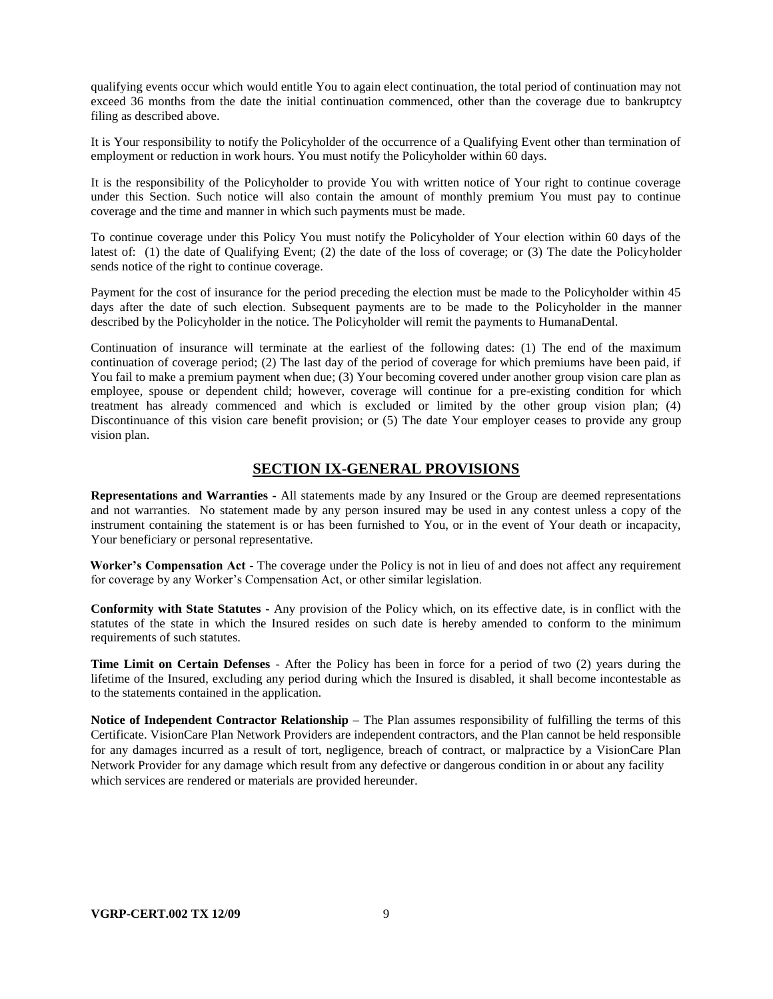qualifying events occur which would entitle You to again elect continuation, the total period of continuation may not exceed 36 months from the date the initial continuation commenced, other than the coverage due to bankruptcy filing as described above.

It is Your responsibility to notify the Policyholder of the occurrence of a Qualifying Event other than termination of employment or reduction in work hours. You must notify the Policyholder within 60 days.

It is the responsibility of the Policyholder to provide You with written notice of Your right to continue coverage under this Section. Such notice will also contain the amount of monthly premium You must pay to continue coverage and the time and manner in which such payments must be made.

To continue coverage under this Policy You must notify the Policyholder of Your election within 60 days of the latest of: (1) the date of Qualifying Event; (2) the date of the loss of coverage; or (3) The date the Policyholder sends notice of the right to continue coverage.

Payment for the cost of insurance for the period preceding the election must be made to the Policyholder within 45 days after the date of such election. Subsequent payments are to be made to the Policyholder in the manner described by the Policyholder in the notice. The Policyholder will remit the payments to HumanaDental.

Continuation of insurance will terminate at the earliest of the following dates: (1) The end of the maximum continuation of coverage period; (2) The last day of the period of coverage for which premiums have been paid, if You fail to make a premium payment when due; (3) Your becoming covered under another group vision care plan as employee, spouse or dependent child; however, coverage will continue for a pre-existing condition for which treatment has already commenced and which is excluded or limited by the other group vision plan; (4) Discontinuance of this vision care benefit provision; or (5) The date Your employer ceases to provide any group vision plan.

### **SECTION IX-GENERAL PROVISIONS**

**Representations and Warranties -** All statements made by any Insured or the Group are deemed representations and not warranties. No statement made by any person insured may be used in any contest unless a copy of the instrument containing the statement is or has been furnished to You, or in the event of Your death or incapacity, Your beneficiary or personal representative.

**Worker's Compensation Act** - The coverage under the Policy is not in lieu of and does not affect any requirement for coverage by any Worker's Compensation Act, or other similar legislation.

**Conformity with State Statutes -** Any provision of the Policy which, on its effective date, is in conflict with the statutes of the state in which the Insured resides on such date is hereby amended to conform to the minimum requirements of such statutes.

**Time Limit on Certain Defenses** - After the Policy has been in force for a period of two (2) years during the lifetime of the Insured, excluding any period during which the Insured is disabled, it shall become incontestable as to the statements contained in the application.

**Notice of Independent Contractor Relationship –** The Plan assumes responsibility of fulfilling the terms of this Certificate. VisionCare Plan Network Providers are independent contractors, and the Plan cannot be held responsible for any damages incurred as a result of tort, negligence, breach of contract, or malpractice by a VisionCare Plan Network Provider for any damage which result from any defective or dangerous condition in or about any facility which services are rendered or materials are provided hereunder.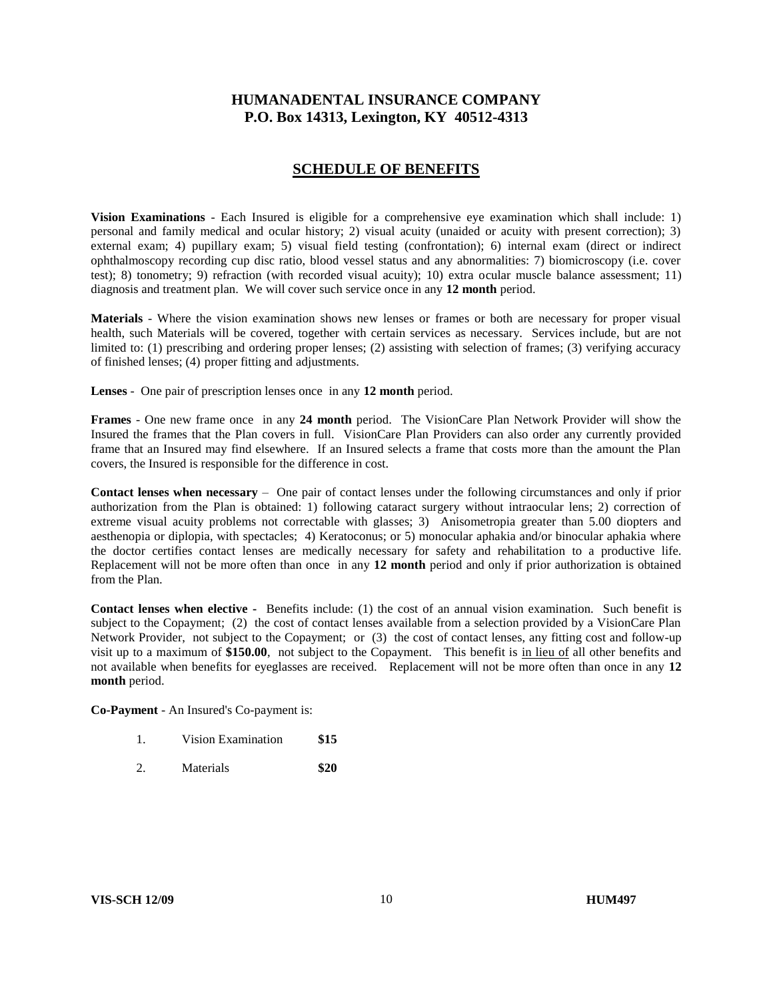# **HUMANADENTAL INSURANCE COMPANY P.O. Box 14313, Lexington, KY 40512-4313**

### **SCHEDULE OF BENEFITS**

**Vision Examinations** - Each Insured is eligible for a comprehensive eye examination which shall include: 1) personal and family medical and ocular history; 2) visual acuity (unaided or acuity with present correction); 3) external exam; 4) pupillary exam; 5) visual field testing (confrontation); 6) internal exam (direct or indirect ophthalmoscopy recording cup disc ratio, blood vessel status and any abnormalities: 7) biomicroscopy (i.e. cover test); 8) tonometry; 9) refraction (with recorded visual acuity); 10) extra ocular muscle balance assessment; 11) diagnosis and treatment plan. We will cover such service once in any **12 month** period.

**Materials** - Where the vision examination shows new lenses or frames or both are necessary for proper visual health, such Materials will be covered, together with certain services as necessary. Services include, but are not limited to: (1) prescribing and ordering proper lenses; (2) assisting with selection of frames; (3) verifying accuracy of finished lenses; (4) proper fitting and adjustments.

**Lenses** - One pair of prescription lenses once in any **12 month** period.

**Frames** - One new frame once in any **24 month** period. The VisionCare Plan Network Provider will show the Insured the frames that the Plan covers in full. VisionCare Plan Providers can also order any currently provided frame that an Insured may find elsewhere. If an Insured selects a frame that costs more than the amount the Plan covers, the Insured is responsible for the difference in cost.

**Contact lenses when necessary** – One pair of contact lenses under the following circumstances and only if prior authorization from the Plan is obtained: 1) following cataract surgery without intraocular lens; 2) correction of extreme visual acuity problems not correctable with glasses; 3) Anisometropia greater than 5.00 diopters and aesthenopia or diplopia, with spectacles; 4) Keratoconus; or 5) monocular aphakia and/or binocular aphakia where the doctor certifies contact lenses are medically necessary for safety and rehabilitation to a productive life. Replacement will not be more often than once in any **12 month** period and only if prior authorization is obtained from the Plan.

**Contact lenses when elective -** Benefits include: (1) the cost of an annual vision examination. Such benefit is subject to the Copayment; (2) the cost of contact lenses available from a selection provided by a VisionCare Plan Network Provider, not subject to the Copayment; or (3) the cost of contact lenses, any fitting cost and follow-up visit up to a maximum of **\$150.00**, not subject to the Copayment. This benefit is in lieu of all other benefits and not available when benefits for eyeglasses are received. Replacement will not be more often than once in any **12 month** period.

**Co-Payment** - An Insured's Co-payment is:

- 1. Vision Examination **\$15**
- 2. Materials **\$20**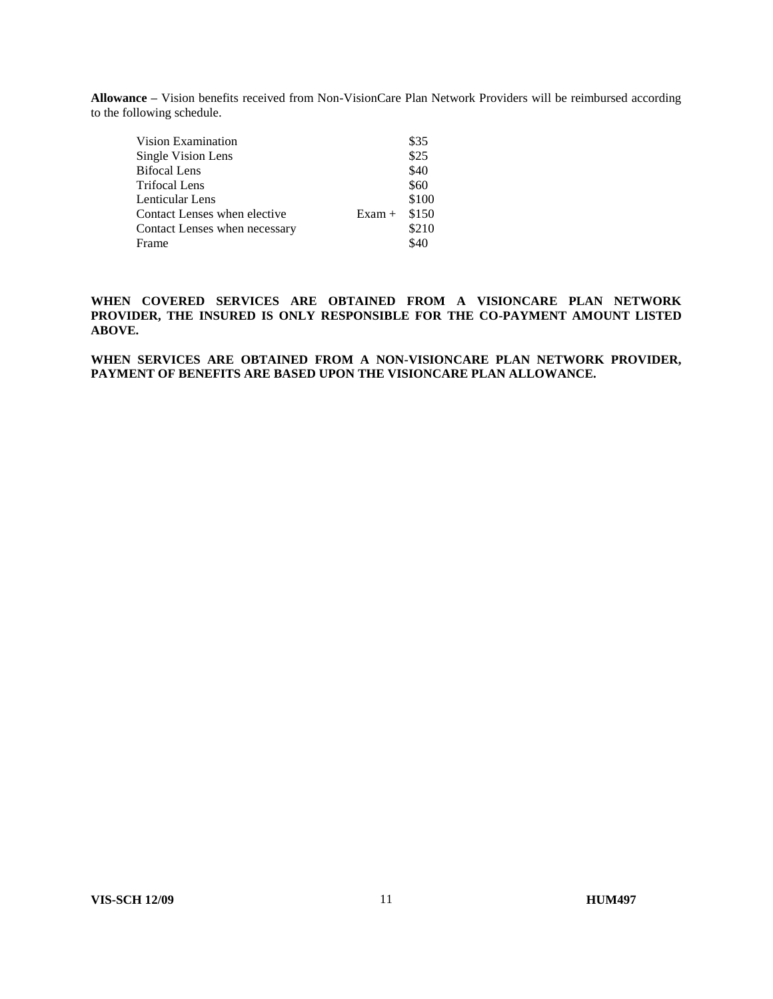**Allowance –** Vision benefits received from Non-VisionCare Plan Network Providers will be reimbursed according to the following schedule.

| Vision Examination            |          | \$35  |
|-------------------------------|----------|-------|
| Single Vision Lens            |          | \$25  |
| <b>Bifocal Lens</b>           |          | \$40  |
| <b>Trifocal Lens</b>          |          | \$60  |
| Lenticular Lens               |          | \$100 |
| Contact Lenses when elective  | $Exam +$ | \$150 |
| Contact Lenses when necessary |          | \$210 |
| Frame                         |          | \$40  |

**WHEN COVERED SERVICES ARE OBTAINED FROM A VISIONCARE PLAN NETWORK PROVIDER, THE INSURED IS ONLY RESPONSIBLE FOR THE CO-PAYMENT AMOUNT LISTED ABOVE.**

**WHEN SERVICES ARE OBTAINED FROM A NON-VISIONCARE PLAN NETWORK PROVIDER, PAYMENT OF BENEFITS ARE BASED UPON THE VISIONCARE PLAN ALLOWANCE.**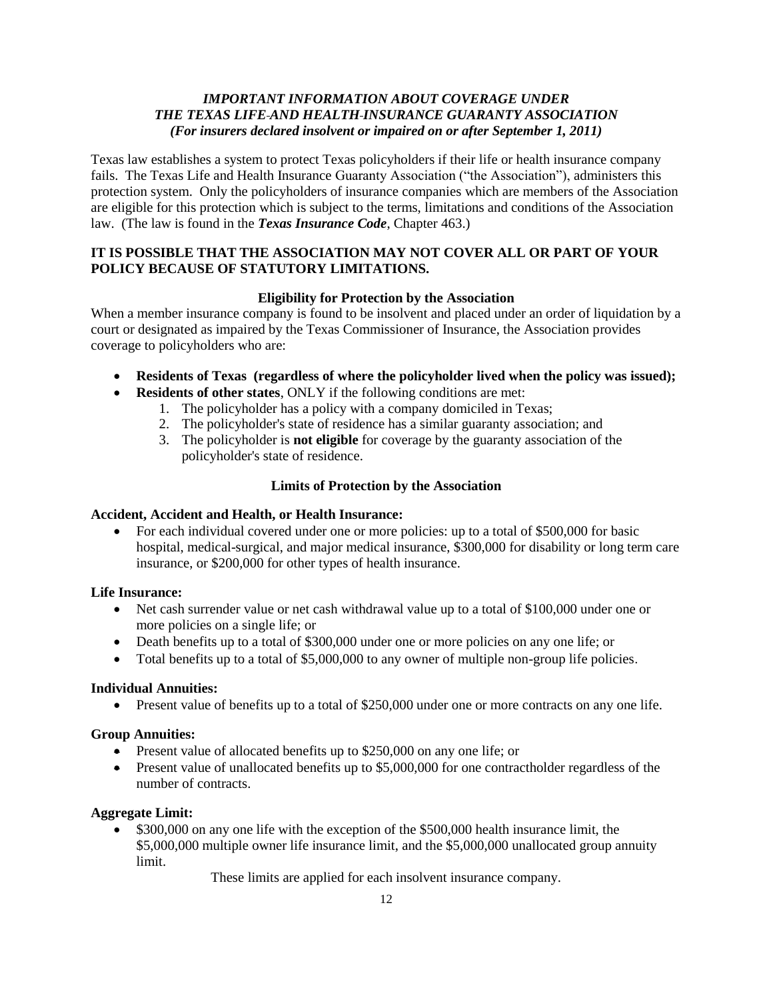# *IMPORTANT INFORMATION ABOUT COVERAGE UNDER THE TEXAS LIFE AND HEALTH INSURANCE GUARANTY ASSOCIATION (For insurers declared insolvent or impaired on or after September 1, 2011)*

Texas law establishes a system to protect Texas policyholders if their life or health insurance company fails. The Texas Life and Health Insurance Guaranty Association ("the Association"), administers this protection system. Only the policyholders of insurance companies which are members of the Association are eligible for this protection which is subject to the terms, limitations and conditions of the Association law. (The law is found in the *Texas Insurance Code*, Chapter 463.)

# **IT IS POSSIBLE THAT THE ASSOCIATION MAY NOT COVER ALL OR PART OF YOUR POLICY BECAUSE OF STATUTORY LIMITATIONS.**

### **Eligibility for Protection by the Association**

When a member insurance company is found to be insolvent and placed under an order of liquidation by a court or designated as impaired by the Texas Commissioner of Insurance, the Association provides coverage to policyholders who are:

- **Residents of Texas (regardless of where the policyholder lived when the policy was issued);**
- **Residents of other states**, ONLY if the following conditions are met:
	- 1. The policyholder has a policy with a company domiciled in Texas;
	- 2. The policyholder's state of residence has a similar guaranty association; and
	- 3. The policyholder is **not eligible** for coverage by the guaranty association of the policyholder's state of residence.

# **Limits of Protection by the Association**

### **Accident, Accident and Health, or Health Insurance:**

 For each individual covered under one or more policies: up to a total of \$500,000 for basic hospital, medical-surgical, and major medical insurance, \$300,000 for disability or long term care insurance, or \$200,000 for other types of health insurance.

### **Life Insurance:**

- Net cash surrender value or net cash withdrawal value up to a total of \$100,000 under one or more policies on a single life; or
- Death benefits up to a total of \$300,000 under one or more policies on any one life; or
- Total benefits up to a total of \$5,000,000 to any owner of multiple non-group life policies.

### **Individual Annuities:**

Present value of benefits up to a total of \$250,000 under one or more contracts on any one life.

### **Group Annuities:**

- Present value of allocated benefits up to \$250,000 on any one life; or
- Present value of unallocated benefits up to \$5,000,000 for one contractholder regardless of the number of contracts.

### **Aggregate Limit:**

 \$300,000 on any one life with the exception of the \$500,000 health insurance limit, the \$5,000,000 multiple owner life insurance limit, and the \$5,000,000 unallocated group annuity limit.

These limits are applied for each insolvent insurance company.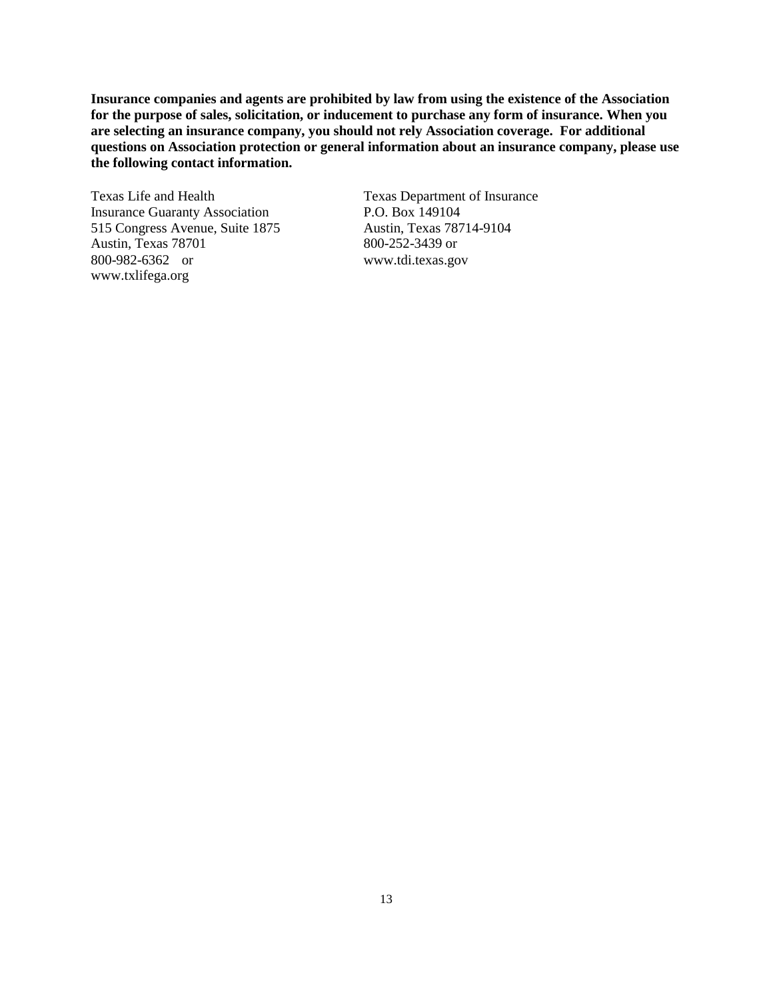**Insurance companies and agents are prohibited by law from using the existence of the Association for the purpose of sales, solicitation, or inducement to purchase any form of insurance. When you are selecting an insurance company, you should not rely Association coverage. For additional questions on Association protection or general information about an insurance company, please use the following contact information.**

Texas Life and Health Texas Department of Insurance Insurance Guaranty Association P.O. Box 149104 515 Congress Avenue, Suite 1875 Austin, Texas 78714-9104 Austin, Texas 78701 800-252-3439 or 800-982-6362 or www.tdi.texas.gov www.txlifega.org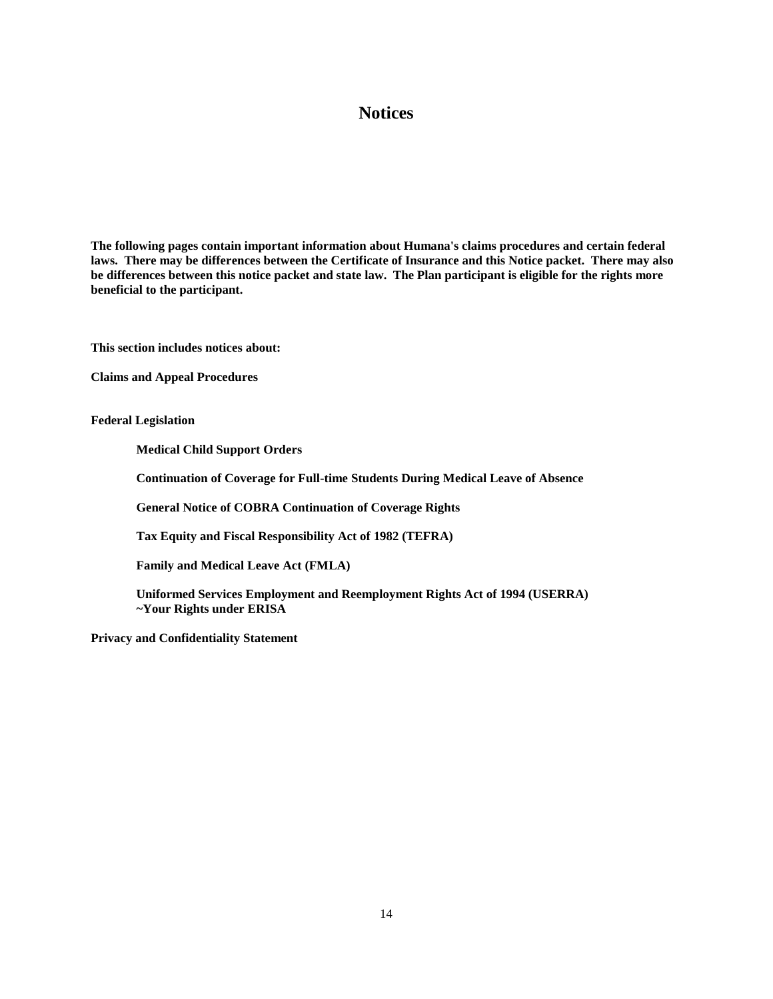# **Notices**

**The following pages contain important information about Humana's claims procedures and certain federal laws. There may be differences between the Certificate of Insurance and this Notice packet. There may also be differences between this notice packet and state law. The Plan participant is eligible for the rights more beneficial to the participant.**

**This section includes notices about:**

**Claims and Appeal Procedures**

**Federal Legislation**

**Medical Child Support Orders**

**Continuation of Coverage for Full-time Students During Medical Leave of Absence**

**General Notice of COBRA Continuation of Coverage Rights** 

**Tax Equity and Fiscal Responsibility Act of 1982 (TEFRA)**

**Family and Medical Leave Act (FMLA)**

**Uniformed Services Employment and Reemployment Rights Act of 1994 (USERRA) ~Your Rights under ERISA**

**Privacy and Confidentiality Statement**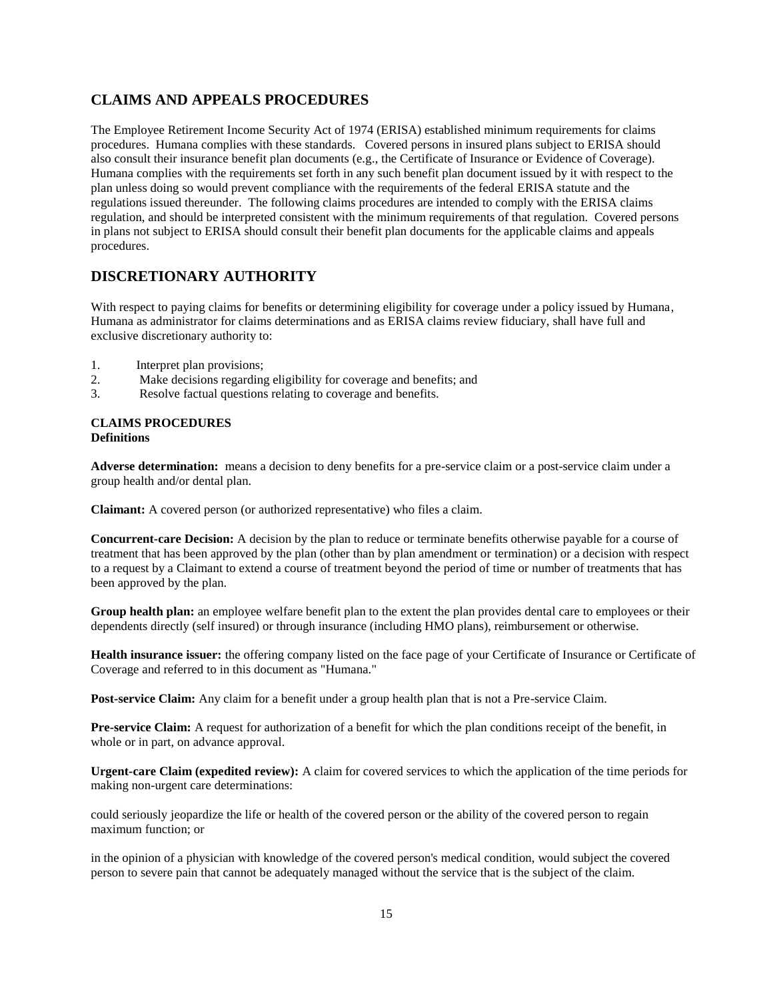# **CLAIMS AND APPEALS PROCEDURES**

The Employee Retirement Income Security Act of 1974 (ERISA) established minimum requirements for claims procedures. Humana complies with these standards. Covered persons in insured plans subject to ERISA should also consult their insurance benefit plan documents (e.g., the Certificate of Insurance or Evidence of Coverage). Humana complies with the requirements set forth in any such benefit plan document issued by it with respect to the plan unless doing so would prevent compliance with the requirements of the federal ERISA statute and the regulations issued thereunder. The following claims procedures are intended to comply with the ERISA claims regulation, and should be interpreted consistent with the minimum requirements of that regulation. Covered persons in plans not subject to ERISA should consult their benefit plan documents for the applicable claims and appeals procedures.

# **DISCRETIONARY AUTHORITY**

With respect to paying claims for benefits or determining eligibility for coverage under a policy issued by Humana, Humana as administrator for claims determinations and as ERISA claims review fiduciary, shall have full and exclusive discretionary authority to:

- 1. Interpret plan provisions;
- 2. Make decisions regarding eligibility for coverage and benefits; and
- 3. Resolve factual questions relating to coverage and benefits.

#### **CLAIMS PROCEDURES Definitions**

**Adverse determination:** means a decision to deny benefits for a pre-service claim or a post-service claim under a group health and/or dental plan.

**Claimant:** A covered person (or authorized representative) who files a claim.

**Concurrent-care Decision:** A decision by the plan to reduce or terminate benefits otherwise payable for a course of treatment that has been approved by the plan (other than by plan amendment or termination) or a decision with respect to a request by a Claimant to extend a course of treatment beyond the period of time or number of treatments that has been approved by the plan.

**Group health plan:** an employee welfare benefit plan to the extent the plan provides dental care to employees or their dependents directly (self insured) or through insurance (including HMO plans), reimbursement or otherwise.

**Health insurance issuer:** the offering company listed on the face page of your Certificate of Insurance or Certificate of Coverage and referred to in this document as "Humana."

**Post-service Claim:** Any claim for a benefit under a group health plan that is not a Pre-service Claim.

**Pre-service Claim:** A request for authorization of a benefit for which the plan conditions receipt of the benefit, in whole or in part, on advance approval.

**Urgent-care Claim (expedited review):** A claim for covered services to which the application of the time periods for making non-urgent care determinations:

could seriously jeopardize the life or health of the covered person or the ability of the covered person to regain maximum function; or

in the opinion of a physician with knowledge of the covered person's medical condition, would subject the covered person to severe pain that cannot be adequately managed without the service that is the subject of the claim.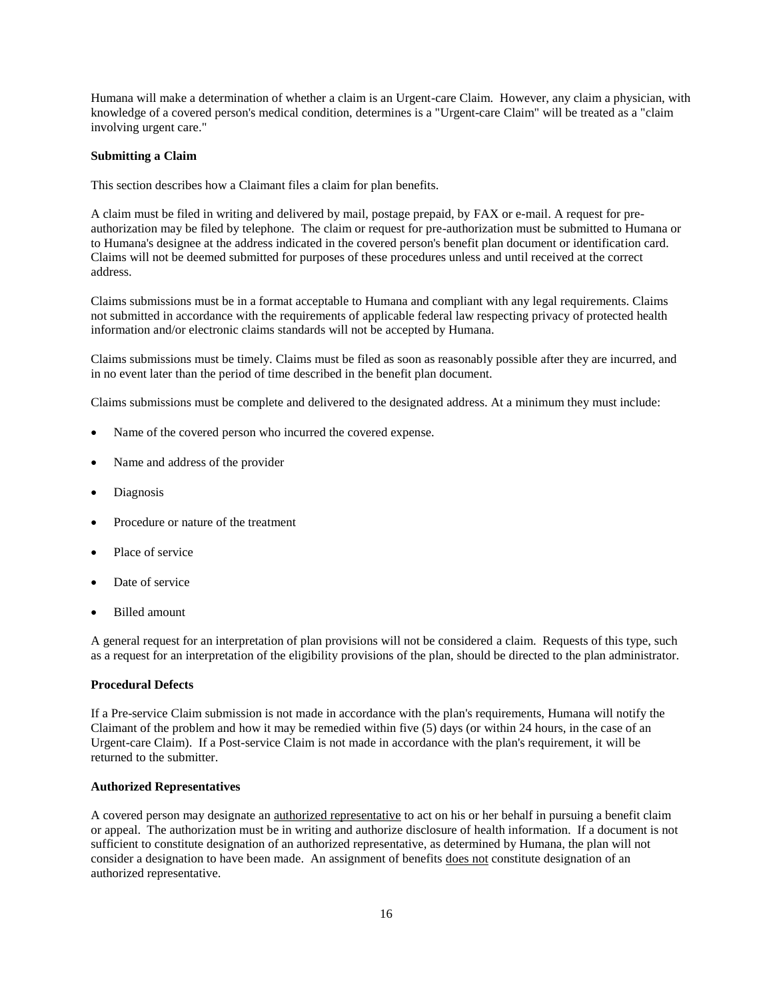Humana will make a determination of whether a claim is an Urgent-care Claim. However, any claim a physician, with knowledge of a covered person's medical condition, determines is a "Urgent-care Claim" will be treated as a "claim involving urgent care."

#### **Submitting a Claim**

This section describes how a Claimant files a claim for plan benefits.

A claim must be filed in writing and delivered by mail, postage prepaid, by FAX or e-mail. A request for preauthorization may be filed by telephone. The claim or request for pre-authorization must be submitted to Humana or to Humana's designee at the address indicated in the covered person's benefit plan document or identification card. Claims will not be deemed submitted for purposes of these procedures unless and until received at the correct address.

Claims submissions must be in a format acceptable to Humana and compliant with any legal requirements. Claims not submitted in accordance with the requirements of applicable federal law respecting privacy of protected health information and/or electronic claims standards will not be accepted by Humana.

Claims submissions must be timely. Claims must be filed as soon as reasonably possible after they are incurred, and in no event later than the period of time described in the benefit plan document.

Claims submissions must be complete and delivered to the designated address. At a minimum they must include:

- Name of the covered person who incurred the covered expense.
- Name and address of the provider
- Diagnosis
- Procedure or nature of the treatment
- Place of service
- Date of service
- Billed amount

A general request for an interpretation of plan provisions will not be considered a claim. Requests of this type, such as a request for an interpretation of the eligibility provisions of the plan, should be directed to the plan administrator.

#### **Procedural Defects**

If a Pre-service Claim submission is not made in accordance with the plan's requirements, Humana will notify the Claimant of the problem and how it may be remedied within five (5) days (or within 24 hours, in the case of an Urgent-care Claim). If a Post-service Claim is not made in accordance with the plan's requirement, it will be returned to the submitter.

#### **Authorized Representatives**

A covered person may designate an authorized representative to act on his or her behalf in pursuing a benefit claim or appeal. The authorization must be in writing and authorize disclosure of health information. If a document is not sufficient to constitute designation of an authorized representative, as determined by Humana, the plan will not consider a designation to have been made. An assignment of benefits does not constitute designation of an authorized representative.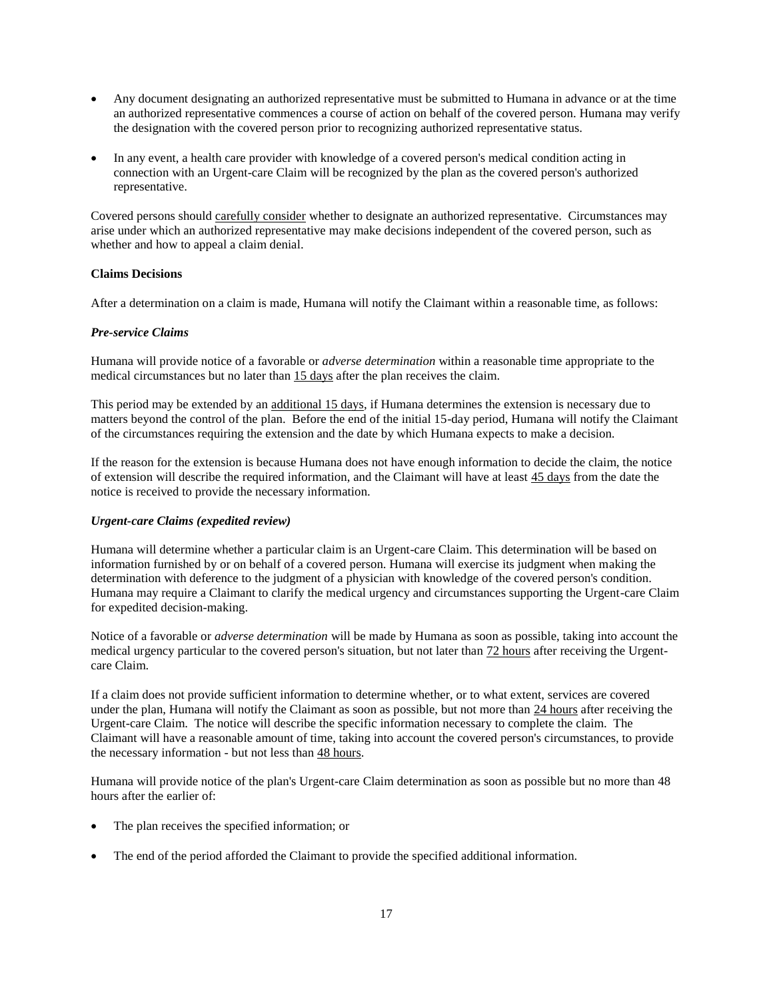- Any document designating an authorized representative must be submitted to Humana in advance or at the time an authorized representative commences a course of action on behalf of the covered person. Humana may verify the designation with the covered person prior to recognizing authorized representative status.
- In any event, a health care provider with knowledge of a covered person's medical condition acting in connection with an Urgent-care Claim will be recognized by the plan as the covered person's authorized representative.

Covered persons should carefully consider whether to designate an authorized representative. Circumstances may arise under which an authorized representative may make decisions independent of the covered person, such as whether and how to appeal a claim denial.

### **Claims Decisions**

After a determination on a claim is made, Humana will notify the Claimant within a reasonable time, as follows:

#### *Pre-service Claims*

Humana will provide notice of a favorable or *adverse determination* within a reasonable time appropriate to the medical circumstances but no later than 15 days after the plan receives the claim.

This period may be extended by an additional 15 days, if Humana determines the extension is necessary due to matters beyond the control of the plan. Before the end of the initial 15-day period, Humana will notify the Claimant of the circumstances requiring the extension and the date by which Humana expects to make a decision.

If the reason for the extension is because Humana does not have enough information to decide the claim, the notice of extension will describe the required information, and the Claimant will have at least 45 days from the date the notice is received to provide the necessary information.

#### *Urgent-care Claims (expedited review)*

Humana will determine whether a particular claim is an Urgent-care Claim. This determination will be based on information furnished by or on behalf of a covered person. Humana will exercise its judgment when making the determination with deference to the judgment of a physician with knowledge of the covered person's condition. Humana may require a Claimant to clarify the medical urgency and circumstances supporting the Urgent-care Claim for expedited decision-making.

Notice of a favorable or *adverse determination* will be made by Humana as soon as possible, taking into account the medical urgency particular to the covered person's situation, but not later than  $72$  hours after receiving the Urgentcare Claim.

If a claim does not provide sufficient information to determine whether, or to what extent, services are covered under the plan, Humana will notify the Claimant as soon as possible, but not more than 24 hours after receiving the Urgent-care Claim. The notice will describe the specific information necessary to complete the claim. The Claimant will have a reasonable amount of time, taking into account the covered person's circumstances, to provide the necessary information - but not less than 48 hours.

Humana will provide notice of the plan's Urgent-care Claim determination as soon as possible but no more than 48 hours after the earlier of:

- The plan receives the specified information; or
- The end of the period afforded the Claimant to provide the specified additional information.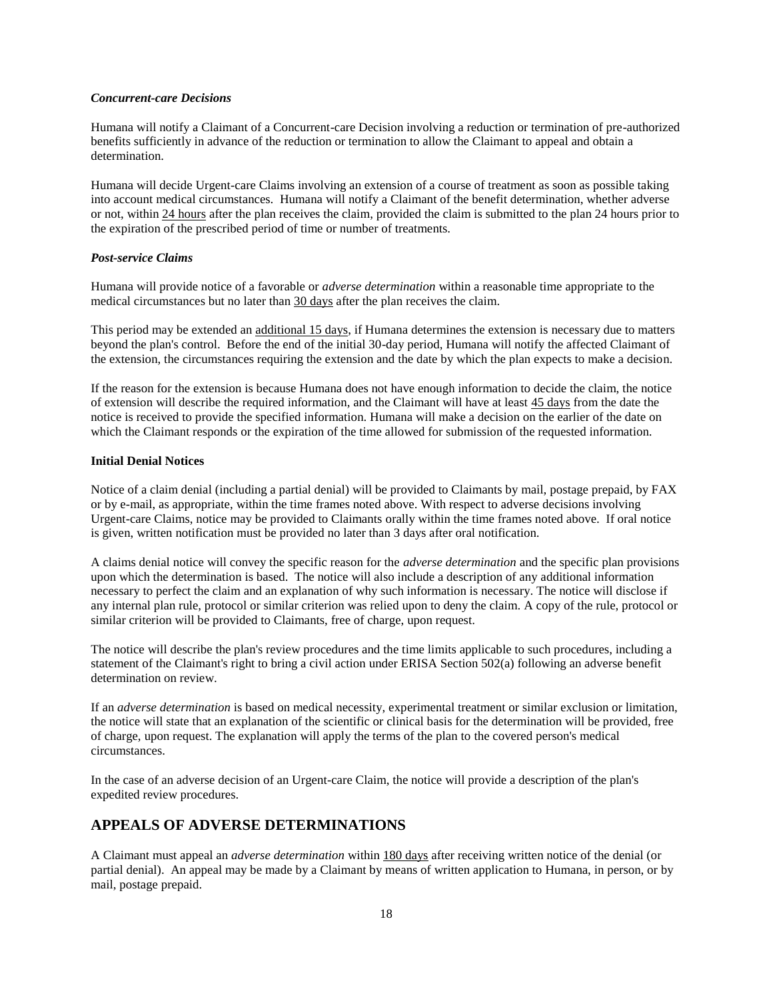#### *Concurrent-care Decisions*

Humana will notify a Claimant of a Concurrent-care Decision involving a reduction or termination of pre-authorized benefits sufficiently in advance of the reduction or termination to allow the Claimant to appeal and obtain a determination.

Humana will decide Urgent-care Claims involving an extension of a course of treatment as soon as possible taking into account medical circumstances. Humana will notify a Claimant of the benefit determination, whether adverse or not, within 24 hours after the plan receives the claim, provided the claim is submitted to the plan 24 hours prior to the expiration of the prescribed period of time or number of treatments.

#### *Post-service Claims*

Humana will provide notice of a favorable or *adverse determination* within a reasonable time appropriate to the medical circumstances but no later than 30 days after the plan receives the claim.

This period may be extended an additional 15 days, if Humana determines the extension is necessary due to matters beyond the plan's control. Before the end of the initial 30-day period, Humana will notify the affected Claimant of the extension, the circumstances requiring the extension and the date by which the plan expects to make a decision.

If the reason for the extension is because Humana does not have enough information to decide the claim, the notice of extension will describe the required information, and the Claimant will have at least 45 days from the date the notice is received to provide the specified information. Humana will make a decision on the earlier of the date on which the Claimant responds or the expiration of the time allowed for submission of the requested information.

#### **Initial Denial Notices**

Notice of a claim denial (including a partial denial) will be provided to Claimants by mail, postage prepaid, by FAX or by e-mail, as appropriate, within the time frames noted above. With respect to adverse decisions involving Urgent-care Claims, notice may be provided to Claimants orally within the time frames noted above. If oral notice is given, written notification must be provided no later than 3 days after oral notification.

A claims denial notice will convey the specific reason for the *adverse determination* and the specific plan provisions upon which the determination is based. The notice will also include a description of any additional information necessary to perfect the claim and an explanation of why such information is necessary. The notice will disclose if any internal plan rule, protocol or similar criterion was relied upon to deny the claim. A copy of the rule, protocol or similar criterion will be provided to Claimants, free of charge, upon request.

The notice will describe the plan's review procedures and the time limits applicable to such procedures, including a statement of the Claimant's right to bring a civil action under ERISA Section 502(a) following an adverse benefit determination on review.

If an *adverse determination* is based on medical necessity, experimental treatment or similar exclusion or limitation, the notice will state that an explanation of the scientific or clinical basis for the determination will be provided, free of charge, upon request. The explanation will apply the terms of the plan to the covered person's medical circumstances.

In the case of an adverse decision of an Urgent-care Claim, the notice will provide a description of the plan's expedited review procedures.

### **APPEALS OF ADVERSE DETERMINATIONS**

A Claimant must appeal an *adverse determination* within 180 days after receiving written notice of the denial (or partial denial). An appeal may be made by a Claimant by means of written application to Humana, in person, or by mail, postage prepaid.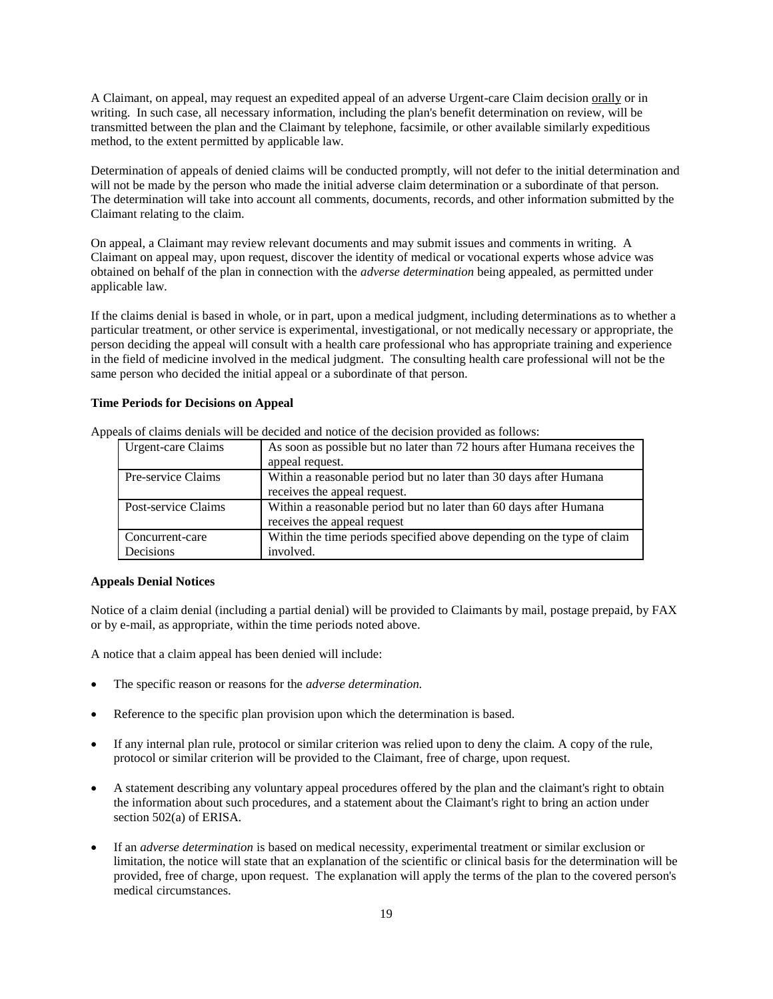A Claimant, on appeal, may request an expedited appeal of an adverse Urgent-care Claim decision orally or in writing. In such case, all necessary information, including the plan's benefit determination on review, will be transmitted between the plan and the Claimant by telephone, facsimile, or other available similarly expeditious method, to the extent permitted by applicable law.

Determination of appeals of denied claims will be conducted promptly, will not defer to the initial determination and will not be made by the person who made the initial adverse claim determination or a subordinate of that person. The determination will take into account all comments, documents, records, and other information submitted by the Claimant relating to the claim.

On appeal, a Claimant may review relevant documents and may submit issues and comments in writing. A Claimant on appeal may, upon request, discover the identity of medical or vocational experts whose advice was obtained on behalf of the plan in connection with the *adverse determination* being appealed, as permitted under applicable law.

If the claims denial is based in whole, or in part, upon a medical judgment, including determinations as to whether a particular treatment, or other service is experimental, investigational, or not medically necessary or appropriate, the person deciding the appeal will consult with a health care professional who has appropriate training and experience in the field of medicine involved in the medical judgment. The consulting health care professional will not be the same person who decided the initial appeal or a subordinate of that person.

#### **Time Periods for Decisions on Appeal**

| <b>Urgent-care Claims</b> | As soon as possible but no later than 72 hours after Humana receives the |
|---------------------------|--------------------------------------------------------------------------|
|                           | appeal request.                                                          |
| Pre-service Claims        | Within a reasonable period but no later than 30 days after Humana        |
|                           | receives the appeal request.                                             |
| Post-service Claims       | Within a reasonable period but no later than 60 days after Humana        |
|                           | receives the appeal request                                              |
| Concurrent-care           | Within the time periods specified above depending on the type of claim   |
| Decisions                 | involved.                                                                |

Appeals of claims denials will be decided and notice of the decision provided as follows:

#### **Appeals Denial Notices**

Notice of a claim denial (including a partial denial) will be provided to Claimants by mail, postage prepaid, by FAX or by e-mail, as appropriate, within the time periods noted above.

A notice that a claim appeal has been denied will include:

- The specific reason or reasons for the *adverse determination.*
- Reference to the specific plan provision upon which the determination is based.
- If any internal plan rule, protocol or similar criterion was relied upon to deny the claim. A copy of the rule, protocol or similar criterion will be provided to the Claimant, free of charge, upon request.
- A statement describing any voluntary appeal procedures offered by the plan and the claimant's right to obtain the information about such procedures, and a statement about the Claimant's right to bring an action under section 502(a) of ERISA.
- If an *adverse determination* is based on medical necessity, experimental treatment or similar exclusion or limitation, the notice will state that an explanation of the scientific or clinical basis for the determination will be provided, free of charge, upon request. The explanation will apply the terms of the plan to the covered person's medical circumstances.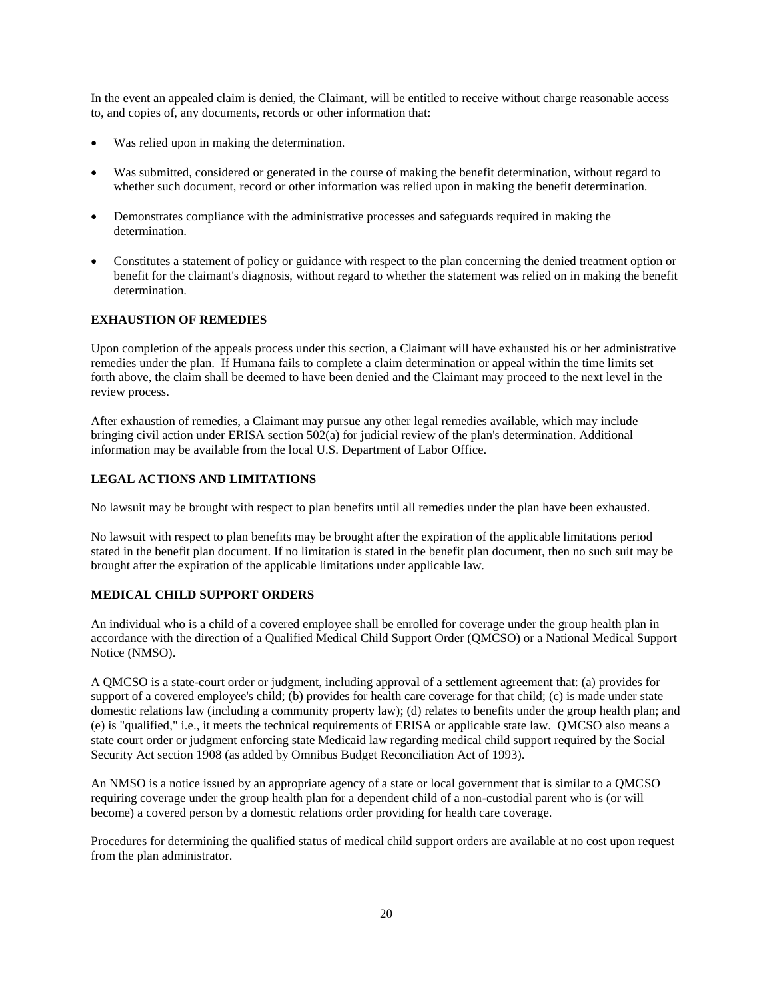In the event an appealed claim is denied, the Claimant, will be entitled to receive without charge reasonable access to, and copies of, any documents, records or other information that:

- Was relied upon in making the determination.
- Was submitted, considered or generated in the course of making the benefit determination, without regard to whether such document, record or other information was relied upon in making the benefit determination.
- Demonstrates compliance with the administrative processes and safeguards required in making the determination.
- Constitutes a statement of policy or guidance with respect to the plan concerning the denied treatment option or benefit for the claimant's diagnosis, without regard to whether the statement was relied on in making the benefit determination.

### **EXHAUSTION OF REMEDIES**

Upon completion of the appeals process under this section, a Claimant will have exhausted his or her administrative remedies under the plan. If Humana fails to complete a claim determination or appeal within the time limits set forth above, the claim shall be deemed to have been denied and the Claimant may proceed to the next level in the review process.

After exhaustion of remedies, a Claimant may pursue any other legal remedies available, which may include bringing civil action under ERISA section 502(a) for judicial review of the plan's determination. Additional information may be available from the local U.S. Department of Labor Office.

#### **LEGAL ACTIONS AND LIMITATIONS**

No lawsuit may be brought with respect to plan benefits until all remedies under the plan have been exhausted.

No lawsuit with respect to plan benefits may be brought after the expiration of the applicable limitations period stated in the benefit plan document. If no limitation is stated in the benefit plan document, then no such suit may be brought after the expiration of the applicable limitations under applicable law.

#### **MEDICAL CHILD SUPPORT ORDERS**

An individual who is a child of a covered employee shall be enrolled for coverage under the group health plan in accordance with the direction of a Qualified Medical Child Support Order (QMCSO) or a National Medical Support Notice (NMSO).

A QMCSO is a state-court order or judgment, including approval of a settlement agreement that: (a) provides for support of a covered employee's child; (b) provides for health care coverage for that child; (c) is made under state domestic relations law (including a community property law); (d) relates to benefits under the group health plan; and (e) is "qualified," i.e., it meets the technical requirements of ERISA or applicable state law. QMCSO also means a state court order or judgment enforcing state Medicaid law regarding medical child support required by the Social Security Act section 1908 (as added by Omnibus Budget Reconciliation Act of 1993).

An NMSO is a notice issued by an appropriate agency of a state or local government that is similar to a QMCSO requiring coverage under the group health plan for a dependent child of a non-custodial parent who is (or will become) a covered person by a domestic relations order providing for health care coverage.

Procedures for determining the qualified status of medical child support orders are available at no cost upon request from the plan administrator.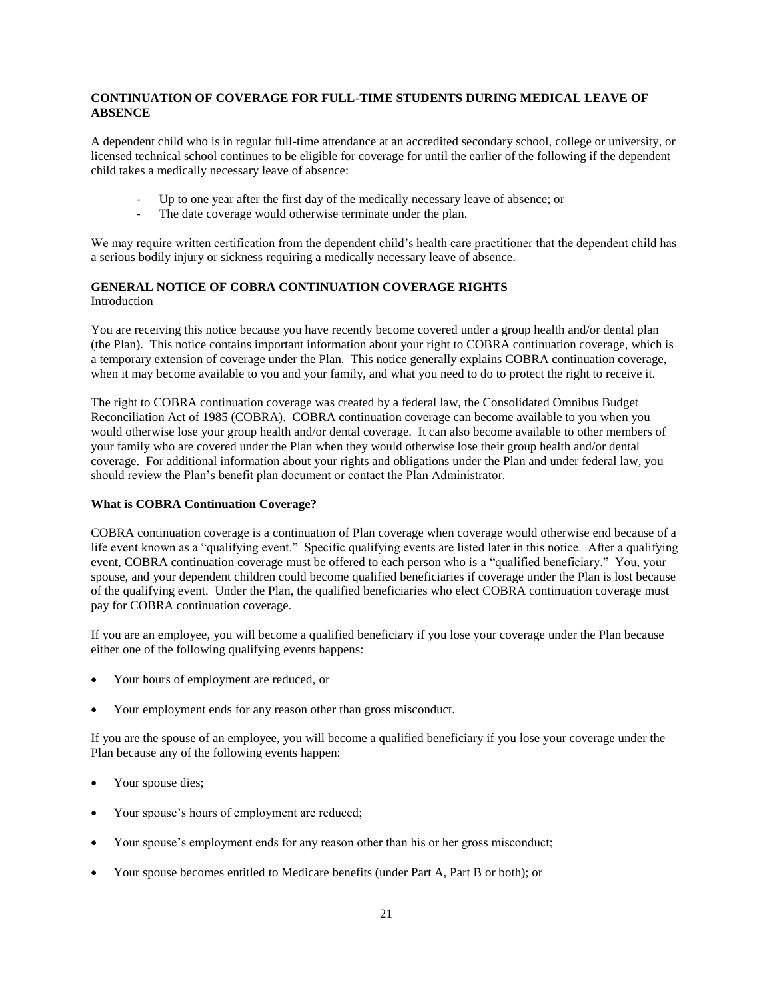### **CONTINUATION OF COVERAGE FOR FULL-TIME STUDENTS DURING MEDICAL LEAVE OF ABSENCE**

A dependent child who is in regular full-time attendance at an accredited secondary school, college or university, or licensed technical school continues to be eligible for coverage for until the earlier of the following if the dependent child takes a medically necessary leave of absence:

- Up to one year after the first day of the medically necessary leave of absence; or
- The date coverage would otherwise terminate under the plan.

We may require written certification from the dependent child's health care practitioner that the dependent child has a serious bodily injury or sickness requiring a medically necessary leave of absence.

### **GENERAL NOTICE OF COBRA CONTINUATION COVERAGE RIGHTS**  Introduction

You are receiving this notice because you have recently become covered under a group health and/or dental plan (the Plan). This notice contains important information about your right to COBRA continuation coverage, which is a temporary extension of coverage under the Plan. This notice generally explains COBRA continuation coverage, when it may become available to you and your family, and what you need to do to protect the right to receive it.

The right to COBRA continuation coverage was created by a federal law, the Consolidated Omnibus Budget Reconciliation Act of 1985 (COBRA). COBRA continuation coverage can become available to you when you would otherwise lose your group health and/or dental coverage. It can also become available to other members of your family who are covered under the Plan when they would otherwise lose their group health and/or dental coverage. For additional information about your rights and obligations under the Plan and under federal law, you should review the Plan's benefit plan document or contact the Plan Administrator.

#### **What is COBRA Continuation Coverage?**

COBRA continuation coverage is a continuation of Plan coverage when coverage would otherwise end because of a life event known as a "qualifying event." Specific qualifying events are listed later in this notice. After a qualifying event, COBRA continuation coverage must be offered to each person who is a "qualified beneficiary." You, your spouse, and your dependent children could become qualified beneficiaries if coverage under the Plan is lost because of the qualifying event. Under the Plan, the qualified beneficiaries who elect COBRA continuation coverage must pay for COBRA continuation coverage.

If you are an employee, you will become a qualified beneficiary if you lose your coverage under the Plan because either one of the following qualifying events happens:

- Your hours of employment are reduced, or
- Your employment ends for any reason other than gross misconduct.

If you are the spouse of an employee, you will become a qualified beneficiary if you lose your coverage under the Plan because any of the following events happen:

- Your spouse dies;
- Your spouse's hours of employment are reduced;
- Your spouse's employment ends for any reason other than his or her gross misconduct;
- Your spouse becomes entitled to Medicare benefits (under Part A, Part B or both); or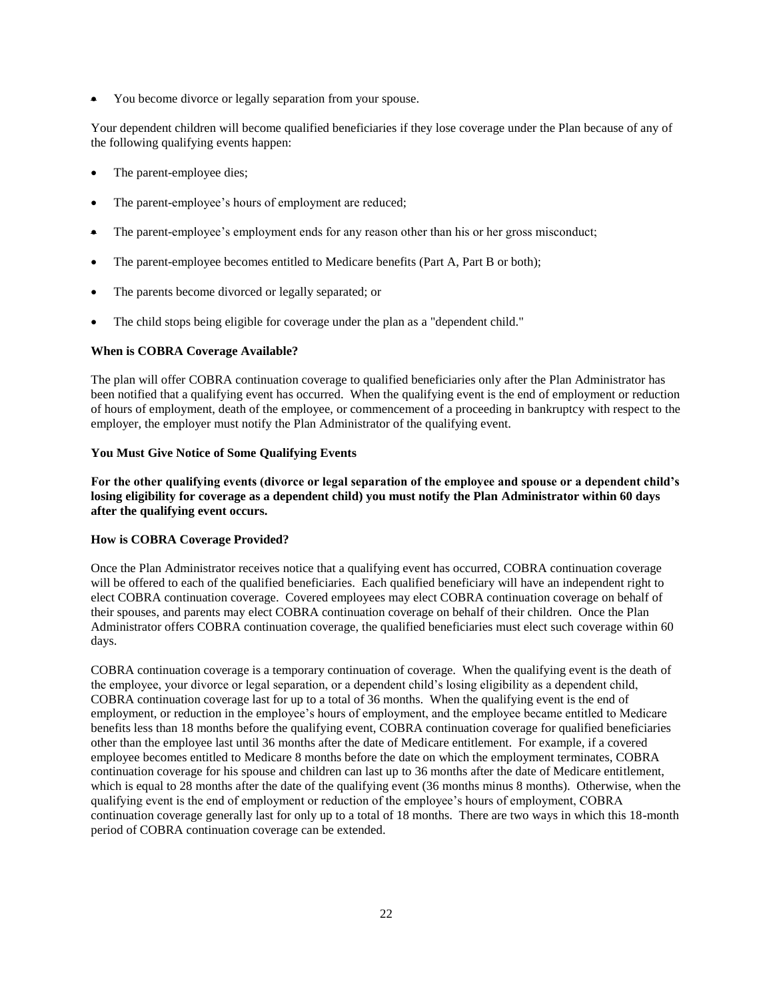• You become divorce or legally separation from your spouse.

Your dependent children will become qualified beneficiaries if they lose coverage under the Plan because of any of the following qualifying events happen:

- The parent-employee dies;
- The parent-employee's hours of employment are reduced;
- The parent-employee's employment ends for any reason other than his or her gross misconduct;
- The parent-employee becomes entitled to Medicare benefits (Part A, Part B or both);
- The parents become divorced or legally separated; or
- The child stops being eligible for coverage under the plan as a "dependent child."

### **When is COBRA Coverage Available?**

The plan will offer COBRA continuation coverage to qualified beneficiaries only after the Plan Administrator has been notified that a qualifying event has occurred. When the qualifying event is the end of employment or reduction of hours of employment, death of the employee, or commencement of a proceeding in bankruptcy with respect to the employer, the employer must notify the Plan Administrator of the qualifying event.

#### **You Must Give Notice of Some Qualifying Events**

**For the other qualifying events (divorce or legal separation of the employee and spouse or a dependent child's losing eligibility for coverage as a dependent child) you must notify the Plan Administrator within 60 days after the qualifying event occurs.**

#### **How is COBRA Coverage Provided?**

Once the Plan Administrator receives notice that a qualifying event has occurred, COBRA continuation coverage will be offered to each of the qualified beneficiaries. Each qualified beneficiary will have an independent right to elect COBRA continuation coverage. Covered employees may elect COBRA continuation coverage on behalf of their spouses, and parents may elect COBRA continuation coverage on behalf of their children. Once the Plan Administrator offers COBRA continuation coverage, the qualified beneficiaries must elect such coverage within 60 days.

COBRA continuation coverage is a temporary continuation of coverage. When the qualifying event is the death of the employee, your divorce or legal separation, or a dependent child's losing eligibility as a dependent child, COBRA continuation coverage last for up to a total of 36 months. When the qualifying event is the end of employment, or reduction in the employee's hours of employment, and the employee became entitled to Medicare benefits less than 18 months before the qualifying event, COBRA continuation coverage for qualified beneficiaries other than the employee last until 36 months after the date of Medicare entitlement. For example, if a covered employee becomes entitled to Medicare 8 months before the date on which the employment terminates, COBRA continuation coverage for his spouse and children can last up to 36 months after the date of Medicare entitlement, which is equal to 28 months after the date of the qualifying event (36 months minus 8 months). Otherwise, when the qualifying event is the end of employment or reduction of the employee's hours of employment, COBRA continuation coverage generally last for only up to a total of 18 months. There are two ways in which this 18-month period of COBRA continuation coverage can be extended.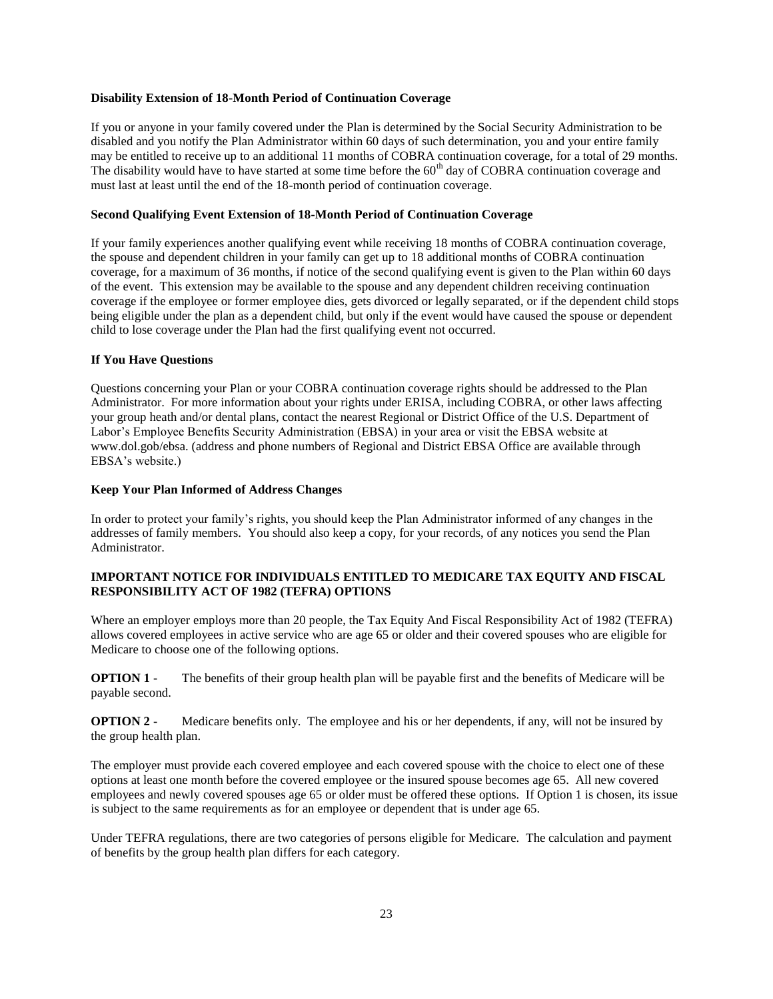#### **Disability Extension of 18-Month Period of Continuation Coverage**

If you or anyone in your family covered under the Plan is determined by the Social Security Administration to be disabled and you notify the Plan Administrator within 60 days of such determination, you and your entire family may be entitled to receive up to an additional 11 months of COBRA continuation coverage, for a total of 29 months. The disability would have to have started at some time before the  $60<sup>th</sup>$  day of COBRA continuation coverage and must last at least until the end of the 18-month period of continuation coverage.

#### **Second Qualifying Event Extension of 18-Month Period of Continuation Coverage**

If your family experiences another qualifying event while receiving 18 months of COBRA continuation coverage, the spouse and dependent children in your family can get up to 18 additional months of COBRA continuation coverage, for a maximum of 36 months, if notice of the second qualifying event is given to the Plan within 60 days of the event. This extension may be available to the spouse and any dependent children receiving continuation coverage if the employee or former employee dies, gets divorced or legally separated, or if the dependent child stops being eligible under the plan as a dependent child, but only if the event would have caused the spouse or dependent child to lose coverage under the Plan had the first qualifying event not occurred.

#### **If You Have Questions**

Questions concerning your Plan or your COBRA continuation coverage rights should be addressed to the Plan Administrator. For more information about your rights under ERISA, including COBRA, or other laws affecting your group heath and/or dental plans, contact the nearest Regional or District Office of the U.S. Department of Labor's Employee Benefits Security Administration (EBSA) in your area or visit the EBSA website at www.dol.gob/ebsa. (address and phone numbers of Regional and District EBSA Office are available through EBSA's website.)

#### **Keep Your Plan Informed of Address Changes**

In order to protect your family's rights, you should keep the Plan Administrator informed of any changes in the addresses of family members. You should also keep a copy, for your records, of any notices you send the Plan Administrator.

### **IMPORTANT NOTICE FOR INDIVIDUALS ENTITLED TO MEDICARE TAX EQUITY AND FISCAL RESPONSIBILITY ACT OF 1982 (TEFRA) OPTIONS**

Where an employer employs more than 20 people, the Tax Equity And Fiscal Responsibility Act of 1982 (TEFRA) allows covered employees in active service who are age 65 or older and their covered spouses who are eligible for Medicare to choose one of the following options.

**OPTION 1** - The benefits of their group health plan will be payable first and the benefits of Medicare will be payable second.

**OPTION 2** - Medicare benefits only. The employee and his or her dependents, if any, will not be insured by the group health plan.

The employer must provide each covered employee and each covered spouse with the choice to elect one of these options at least one month before the covered employee or the insured spouse becomes age 65. All new covered employees and newly covered spouses age 65 or older must be offered these options. If Option 1 is chosen, its issue is subject to the same requirements as for an employee or dependent that is under age 65.

Under TEFRA regulations, there are two categories of persons eligible for Medicare. The calculation and payment of benefits by the group health plan differs for each category.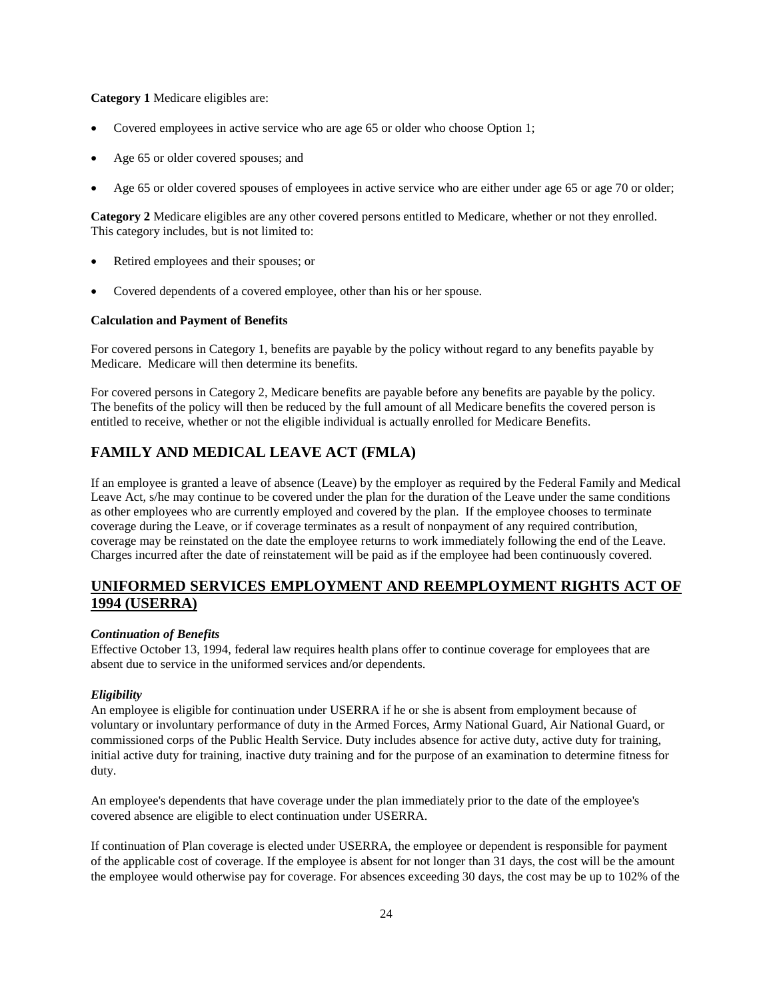### **Category 1** Medicare eligibles are:

- Covered employees in active service who are age 65 or older who choose Option 1;
- Age 65 or older covered spouses; and
- Age 65 or older covered spouses of employees in active service who are either under age 65 or age 70 or older;

**Category 2** Medicare eligibles are any other covered persons entitled to Medicare, whether or not they enrolled. This category includes, but is not limited to:

- Retired employees and their spouses; or
- Covered dependents of a covered employee, other than his or her spouse.

#### **Calculation and Payment of Benefits**

For covered persons in Category 1, benefits are payable by the policy without regard to any benefits payable by Medicare. Medicare will then determine its benefits.

For covered persons in Category 2, Medicare benefits are payable before any benefits are payable by the policy. The benefits of the policy will then be reduced by the full amount of all Medicare benefits the covered person is entitled to receive, whether or not the eligible individual is actually enrolled for Medicare Benefits.

### **FAMILY AND MEDICAL LEAVE ACT (FMLA)**

If an employee is granted a leave of absence (Leave) by the employer as required by the Federal Family and Medical Leave Act, s/he may continue to be covered under the plan for the duration of the Leave under the same conditions as other employees who are currently employed and covered by the plan. If the employee chooses to terminate coverage during the Leave, or if coverage terminates as a result of nonpayment of any required contribution, coverage may be reinstated on the date the employee returns to work immediately following the end of the Leave. Charges incurred after the date of reinstatement will be paid as if the employee had been continuously covered.

### **UNIFORMED SERVICES EMPLOYMENT AND REEMPLOYMENT RIGHTS ACT OF 1994 (USERRA)**

#### *Continuation of Benefits*

Effective October 13, 1994, federal law requires health plans offer to continue coverage for employees that are absent due to service in the uniformed services and/or dependents.

#### *Eligibility*

An employee is eligible for continuation under USERRA if he or she is absent from employment because of voluntary or involuntary performance of duty in the Armed Forces, Army National Guard, Air National Guard, or commissioned corps of the Public Health Service. Duty includes absence for active duty, active duty for training, initial active duty for training, inactive duty training and for the purpose of an examination to determine fitness for duty.

An employee's dependents that have coverage under the plan immediately prior to the date of the employee's covered absence are eligible to elect continuation under USERRA.

If continuation of Plan coverage is elected under USERRA, the employee or dependent is responsible for payment of the applicable cost of coverage. If the employee is absent for not longer than 31 days, the cost will be the amount the employee would otherwise pay for coverage. For absences exceeding 30 days, the cost may be up to 102% of the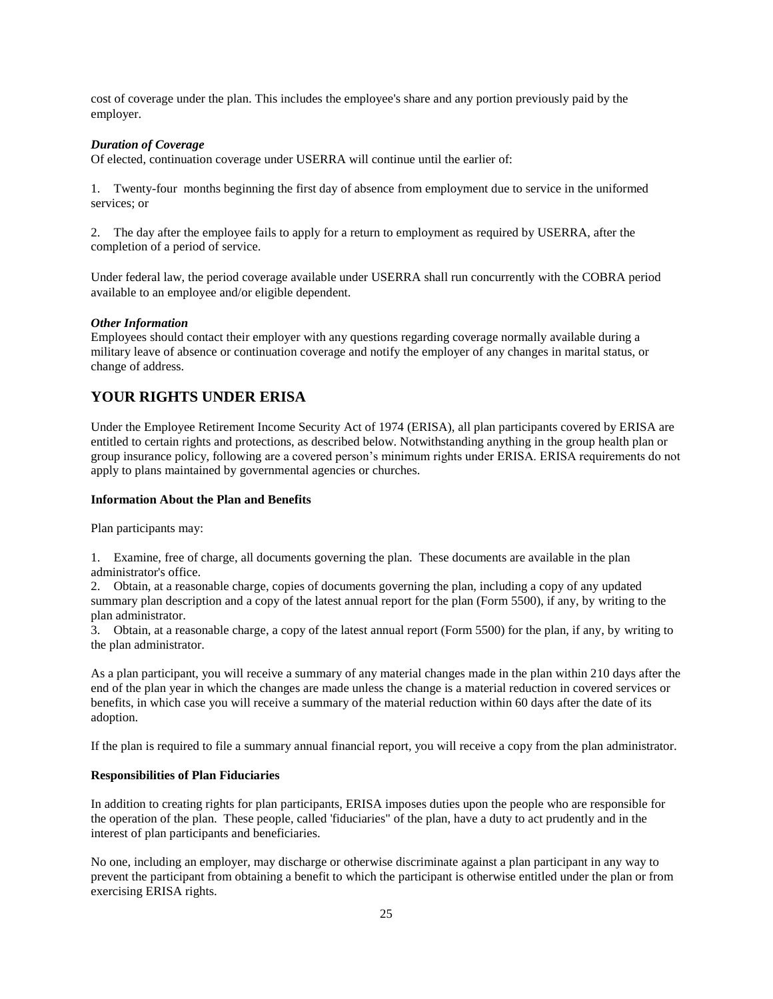cost of coverage under the plan. This includes the employee's share and any portion previously paid by the employer.

#### *Duration of Coverage*

Of elected, continuation coverage under USERRA will continue until the earlier of:

1. Twenty-four months beginning the first day of absence from employment due to service in the uniformed services; or

2. The day after the employee fails to apply for a return to employment as required by USERRA, after the completion of a period of service.

Under federal law, the period coverage available under USERRA shall run concurrently with the COBRA period available to an employee and/or eligible dependent.

#### *Other Information*

Employees should contact their employer with any questions regarding coverage normally available during a military leave of absence or continuation coverage and notify the employer of any changes in marital status, or change of address.

### **YOUR RIGHTS UNDER ERISA**

Under the Employee Retirement Income Security Act of 1974 (ERISA), all plan participants covered by ERISA are entitled to certain rights and protections, as described below. Notwithstanding anything in the group health plan or group insurance policy, following are a covered person's minimum rights under ERISA. ERISA requirements do not apply to plans maintained by governmental agencies or churches.

#### **Information About the Plan and Benefits**

Plan participants may:

1. Examine, free of charge, all documents governing the plan. These documents are available in the plan administrator's office.

2. Obtain, at a reasonable charge, copies of documents governing the plan, including a copy of any updated summary plan description and a copy of the latest annual report for the plan (Form 5500), if any, by writing to the plan administrator.

3. Obtain, at a reasonable charge, a copy of the latest annual report (Form 5500) for the plan, if any, by writing to the plan administrator.

As a plan participant, you will receive a summary of any material changes made in the plan within 210 days after the end of the plan year in which the changes are made unless the change is a material reduction in covered services or benefits, in which case you will receive a summary of the material reduction within 60 days after the date of its adoption.

If the plan is required to file a summary annual financial report, you will receive a copy from the plan administrator.

#### **Responsibilities of Plan Fiduciaries**

In addition to creating rights for plan participants, ERISA imposes duties upon the people who are responsible for the operation of the plan. These people, called 'fiduciaries" of the plan, have a duty to act prudently and in the interest of plan participants and beneficiaries.

No one, including an employer, may discharge or otherwise discriminate against a plan participant in any way to prevent the participant from obtaining a benefit to which the participant is otherwise entitled under the plan or from exercising ERISA rights.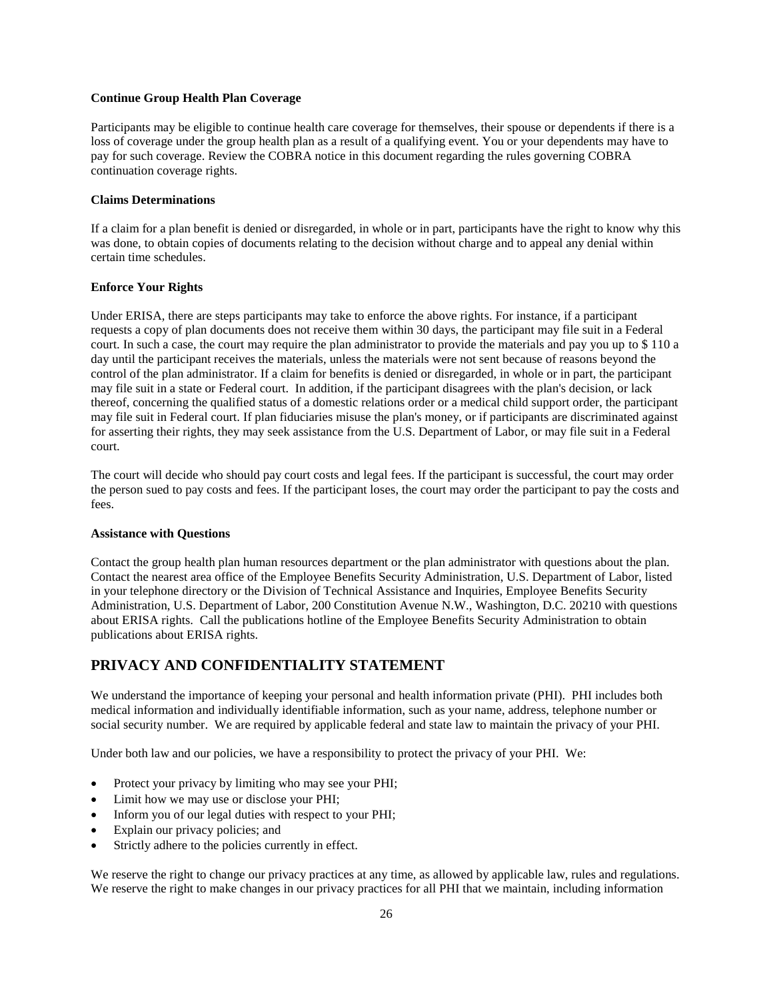#### **Continue Group Health Plan Coverage**

Participants may be eligible to continue health care coverage for themselves, their spouse or dependents if there is a loss of coverage under the group health plan as a result of a qualifying event. You or your dependents may have to pay for such coverage. Review the COBRA notice in this document regarding the rules governing COBRA continuation coverage rights.

#### **Claims Determinations**

If a claim for a plan benefit is denied or disregarded, in whole or in part, participants have the right to know why this was done, to obtain copies of documents relating to the decision without charge and to appeal any denial within certain time schedules.

#### **Enforce Your Rights**

Under ERISA, there are steps participants may take to enforce the above rights. For instance, if a participant requests a copy of plan documents does not receive them within 30 days, the participant may file suit in a Federal court. In such a case, the court may require the plan administrator to provide the materials and pay you up to \$ 110 a day until the participant receives the materials, unless the materials were not sent because of reasons beyond the control of the plan administrator. If a claim for benefits is denied or disregarded, in whole or in part, the participant may file suit in a state or Federal court. In addition, if the participant disagrees with the plan's decision, or lack thereof, concerning the qualified status of a domestic relations order or a medical child support order, the participant may file suit in Federal court. If plan fiduciaries misuse the plan's money, or if participants are discriminated against for asserting their rights, they may seek assistance from the U.S. Department of Labor, or may file suit in a Federal court.

The court will decide who should pay court costs and legal fees. If the participant is successful, the court may order the person sued to pay costs and fees. If the participant loses, the court may order the participant to pay the costs and fees.

#### **Assistance with Questions**

Contact the group health plan human resources department or the plan administrator with questions about the plan. Contact the nearest area office of the Employee Benefits Security Administration, U.S. Department of Labor, listed in your telephone directory or the Division of Technical Assistance and Inquiries, Employee Benefits Security Administration, U.S. Department of Labor, 200 Constitution Avenue N.W., Washington, D.C. 20210 with questions about ERISA rights. Call the publications hotline of the Employee Benefits Security Administration to obtain publications about ERISA rights.

# **PRIVACY AND CONFIDENTIALITY STATEMENT**

We understand the importance of keeping your personal and health information private (PHI). PHI includes both medical information and individually identifiable information, such as your name, address, telephone number or social security number. We are required by applicable federal and state law to maintain the privacy of your PHI.

Under both law and our policies, we have a responsibility to protect the privacy of your PHI. We:

- Protect your privacy by limiting who may see your PHI;
- Limit how we may use or disclose your PHI;
- Inform you of our legal duties with respect to your PHI;
- Explain our privacy policies; and
- Strictly adhere to the policies currently in effect.

We reserve the right to change our privacy practices at any time, as allowed by applicable law, rules and regulations. We reserve the right to make changes in our privacy practices for all PHI that we maintain, including information